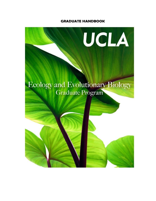# **GRADUATE HANDBOOK**

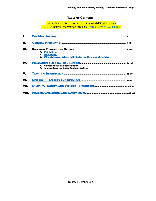# **TABLE OF CONTENTS**

For updated information related to Covid-19, please visit UCLA's central information site here - <https://covid-19.ucla.edu/>

| A. PhD in Biology                                                              |  |  |  |  |
|--------------------------------------------------------------------------------|--|--|--|--|
| <b>B.</b> MS in Biology                                                        |  |  |  |  |
| <b>C.</b> MS in Biology, specializing in the Ecology and Evolution of Medicine |  |  |  |  |
|                                                                                |  |  |  |  |
| A. General Policies and Requirements                                           |  |  |  |  |
| <b>B.</b> Support Opportunities for Graduate Students                          |  |  |  |  |
|                                                                                |  |  |  |  |
|                                                                                |  |  |  |  |
|                                                                                |  |  |  |  |
|                                                                                |  |  |  |  |
|                                                                                |  |  |  |  |
|                                                                                |  |  |  |  |
|                                                                                |  |  |  |  |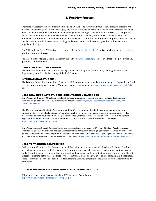# **I. FOR NEW STUDENTS**

Welcome to Ecology and Evolutionary Biology at UCLA! The faculty and your fellow graduate students are pleased to welcome you as a new colleague, and we look forward to productive and exciting research and study with you. Our mission is to provide new knowledge of the ecological and evolutionary processes that produce and sustain life on Earth and to educate the next generation of scholars, professionals, and citizens for the biological, environmental and biotechnological challenges of the future. Our graduate program offers a variety of specializations, within the core areas: ecology and conservation, evolution and genetics, and behavior and organismic biology.

For PhD students, Tessa Villaseñor in Hershey Hall 114 [\(tessav@eeb.ucla.edu](mailto:tessav@eeb.ucla.edu)), is available to help you with any questions you might have.

For MS students, Melissa Carrillo in Hershey Hall 114 [\(mcarrillo@eeb.ucla.edu\)](mailto:mcarrillo@eeb.ucla.edu), is available to help you with any questions you might have.

### <span id="page-2-0"></span>**DEPARTMENTAL ORIENTATION**

The Graduate Student Orientation for the Department of Ecology and Evolutionary Biology is held in late September, just before the beginning of the Fall Quarter.

### **INTERNATIONAL STUDENTS**

The Dashew Center for International Students and Scholars sponsors mandatory workshops in September of each year for new international students. More information is available at [https://www.internationalcenter.ucla.edu/istart](https://www.internationalcenter.ucla.edu/istart-ucla)[ucla](https://www.internationalcenter.ucla.edu/istart-ucla)

# **UCLA NEW GRADUATE STUDENT ORIENTATION & HANDBOOK**

The UCLA New Students' Orientation Handbook contains information regarding University policies, deadlines, and resources for graduate students. You can access the handbook a[t https://grad.ucla.edu/academics/graduate-study/new](https://grad.ucla.edu/academics/graduate-study/new-students-orientation/)[students-orientation/](https://grad.ucla.edu/academics/graduate-study/new-students-orientation/)

The UCLA Graduate Students Association and the UCLA Graduate Student Resource Center sponsor a campus-wide New Graduate Student Orientation each September. This comprehensive orientation provides information to ease your transition into graduate school, introduce you to campus services and involvement opportunities, and show you just how much UCLA has to offer. More information is available at [https://www.gsrc.ucla.edu/Orientation.](https://www.gsrc.ucla.edu/Orientation)

The UCLA Graduate Student Resource Center also sponsors Equity, Inclusion & Diversity Graduate Week. This is an event for *all* graduate students that focuses on issues that are particularly challenging to underrepresented students. New graduate students will have the opportunity to learn about resources, to network, and to get acquainted with the university in a supportive environment. More information is available at<https://gsrc.ucla.edu/equity-diversity-and-inclusion-day>

### **UCLA TA TRAINING CONFERENCE**

Each year the Center for the Advancement of Teaching hosts a campus-wide Teaching Assistant Conference just before the beginning of Fall Quarter. Both new and experienced teaching assistants improve their teaching skills through general sessions, a teaching panel, and hands-on workshops that examine a variety of different aspects of teaching at the undergraduate level. Registration is free and available online through mid-September. More information can be found https://teaching.ucla.edu/gradstudent-programs/ta-workshops/#annual-taconference.

# **UCLA STANDARDS AND PROCEDURES FOR GRADAUTE STUDY**

All policies concerning Graduate Study at UCLA can be found here <http://www.gdnet.ucla.edu/gasaa/library/spfgs.pdf>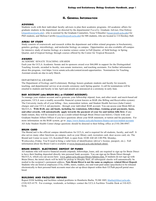# **II. GENERAL INFORMATION**

# <span id="page-3-0"></span>**ADVISING**

Students work with their individual faculty advisers to plan their academic programs. All academic affairs for graduate students in the department are directed by the departmental Faculty Graduate Adviser, Elsa Ordway [\(elsaordway@ucla.edu\)](mailto:elsaordway@ucla.edu) , who is assisted by the Graduate Counselors, Tessa Villaseñor [\(tessav@eeb.ucla.edu\)](mailto:tessav@eeb.ucla.edu) for PhD students, and Melissa Carrillo [\(mcarrillo@eeb.ucla.edu\)](mailto:mcarrillo@eeb.ucla.edu) for MS students, who are located in 114 Hershey Hall.

# **AREAS OF STUDY**

Study consists of coursework and research within the department and within related programs in biochemistry, genetics, geology, microbiology, and molecular biology on campus. Opportunities are also available off-campus for intensive study of marine biology at a marine science center in Fall Quarter, of field biology in Spring Quarter, and of tropical biology through courses offered by the Center for Tropical Research.

#### **AWARDS**

# ACADEMIC SENATE TEACHING AWARDS

Each year the UCLA Academic Senate and its sponsors award over \$66,000 in support for the Distinguished Teaching Awards, awarded to faculty, non-senate instructors, and teaching assistants. For further information about this program, visit https://www.senate.ucla.edu/content/award-opportunities. Nominations for Teaching Assistant awards are due in early March.

### DEPARTMENTALAWARDS

The Department of Ecology and Evolutionary Biology honors graduate students and faculty for research, teaching, and departmental service at an awards ceremony each Spring quarter. A call for nominations will be emailed to students and faculty in late April and awards are announced at a ceremony in early June.

### **BAR ACCOUNT (aka BRUIN BILL or STUDENT ACCOUNT)**

To manage your student account and to generate your fellowship stipend, loan, and other need- and merit-based aid payments, UCLA uses a readily accessible financial system known as BAR (the Billing and Receivables system). The University tracks all of your billing - fees, nonresident tuition, and Student Health Services (Ashe Center) charges and your UCLA aid payments - through your individual BAR account. You can access your Bruin Bill on MyUCLA. **With BAR, any aid funds, including fee remissions, fellowships, training grant payments, loans, and other awards, will automatically apply towards the payment of your fee and tuition bills first.** If any funds remain, they will be issued to you as a credit refund through Bruin Direct (see below). Check with your Graduate Student Affairs Officer if you have questions about your BAR statement, or tuition and fee payments. For more information on the BAR system, go to <https://www.finance.ucla.edu/business-finance-services/student-accounts> All Ashe Student Health Center charge questions should be directed to their billing office at (310) 206-0947.

### **BRUIN CARD**

The BruinCard is the official campus identification for UCLA, and is required for all students, faculty, and staff. It also serves many other functions on campus, such as your library card, recreation card, door access card, etc. The BruinCard Center in room 123, Kerckhoff Hall, is open from 10:00 AM till 2:00 PM, Monday, Wednesday,Friday. You'll need to bring a valid form of identification (driver's license, passport, etc.). Full information about the Bruin Card is available at [www.bruincard.ucla.edu/default.shtml.](http://www.bruincard.ucla.edu/default.shtml)

#### **BRUIN DIRECT: ELECTRONIC DEPOSIT OF FUNDS**

All students who will receive financial awards (stipends, fellowships, loans, aid) are required to sign up for Bruin Direct to have their funding deposited directly into personal bank accounts. You can sign up for Bruin Direct through MyUCLA, which you can access here: [www.gdnet.ucla.edu/gss/library/bdintro.htm.](http://www.gdnet.ucla.edu/gss/library/bdintro.htm) If students do not sign up with Bruin Direct, the initial check will be held for pickup in Murphy Hall; all subsequent checks will automatically be mailed to the recipient's permanent address. **Note Bruin Direct is not the same as employee- related Direct Deposit**. Students who are hired as employees (TAs, GSRs, tutors, readers, etc) and want paid salary (paychecks) to be released electronically to their personal bank accounts must also set up direct deposit within their UCPath payroll portal once hired.

### **BUILDING AND FACILITIES REPAIRS**

Report EEB building and facilities related problems to Humberto Barba, TLSB 1005, [hbarba@lifesci.ucla.edu](mailto:hbarba@lifesci.ucla.edu) , (310) 825-4179. For evenings, weekends, or holidays: contact the UCLA Facilities Trouble Desk at 310-825- 9236.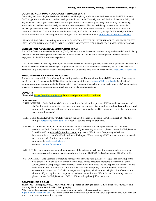### **COUNSELING & PSYCHOLOGICAL SERVICES (CAPS)**

Counseling and Psychological Services (CAPS) is a multidisciplinary student mental health center for the UCLA campus. CAPS supports the academic and student development missions of the University and the Division of Student Affairs, and they're here to support your mental health needs as you pursue your academic goals. They offer an array of counseling, psychiatric, and wellness services designed to foster the development of healthy well-being necessary for success in a complex global environment. CAPS is located in the John Wooden Center West (the CAPS entrance faces the Intramural Field and Drake Stadium), and is open M-F, 8:00 A.M. to 5:00 P.M., except for University holidays. More information on Counseling and Psychological Services can be found at <http://www.counseling.ucla.edu/>

The CAPS 24/7 Crisis Counseling number is (310) 825-0768. STUDENTS EXPERIENCING AN EMERGENCY SITUATION WHEN CAPS IS CLOSED SHOULD GO TO THE UCLA HOSPITAL EMERGENCY ROOM.

### **CENTER FOR ACCESSIBLE EDUCATION (CAE)**

The UCLA Center for Accessible Education (CAE) facilitates academic accommodations for regularly enrolled, matriculating students with documented permanent and temporary disabilities. Accommodations are designed to promote successful engagement in the UCLA academic experience.

If you are interested in receiving disability-based academic accommodations, you may schedule an appointment to meet with an intake counselor in order to determine your eligibility for services. CAE is committed to ensuring all UCLA students can participate fully in the numerous educational opportunities on campus. Find more information here[, http://www.cae.ucla.edu/.](http://www.cae.ucla.edu/)

### **EMAIL ADDRESS & CHANGES OF ADDRESS**

Students are responsible for updating their mailing address and/or e-mail on their MyUCLA portal. Any changes should be entered immediately. EEB utilizes an internal email list serve [eeb-grad@lists.ucla.edu](mailto:eeb-grad@lists.ucla.edu) for all official communication for graduate students. Please notify your Graduate Counselor of changes to your UCLA email address to ensure you receive important department and University communications.

#### **COVID-19**

Please visit **[https://covid-19.ucla.edu](https://covid-19.ucla.edu/)** for updated policies and procedures.

### **COMPUTING**

- BRUIN ONLINE: Bruin OnLine (BOL) is a collection of services that provides UCLA students, faculty, and staff with e-mail, web hosting services, and network connectivity, including wireless, **free software and support.** In order to use Bruin OnLine services, you must have a BOL account. For further information, see [www.bol.ucla.edu/.](http://www.bol.ucla.edu/)
- HELP DESK & DESKTOP SUPPORT: Contact the Life Sciences Computing (LSC) HelpDesk at (310-825 1000) o[r helpdesk@lifesci.ucla.edu](mailto:helpdesk@lifesci.ucla.edu%20t) to request service or report problems.
- E-MAIL ACCOUNT: As a UCLA faculty, student or staff member you can open a Bruin On-Line email account;see Bruin Online information above. If you have any questions, please contact the HelpDesk at 310-825-1000 or [helpdesk@lifesci.ucla.edu,](mailto:helpdesk@lifesci.ucla.edu) or go to the Life Science Computing web site at [http://www.lsc.ucla.edu/html/helpdesk/email/who.php.](http://www.lsc.ucla.edu/html/helpdesk/email/who.php) When creating a UCLA email address, please do not use a period (.) in the name portion:
	- non-example [joe.bruin@ucla.edu](mailto:joe.bruin@ucla.edu)
	- example: [joebruin@ucla.edu](mailto:joebruin@ucla.edu)
- WEB SITES: For creation, design and maintenance of departmental web sites for instructional, research and administrative information, see Grant Alkin in Hershey Hall 206 [\(galkin@ucla.edu,](mailto:(galkin@ucla.edu) 310-206-1748).
- NETWORKING: Life Sciences Computing manages the infrastructure (i.e., access, upgrades, security) of the Life Sciences network as well as many centralized, shared resources including departmental email servers, remote computing access, Internet connectivity, numerous file and application servers, and the main administrative web server. In short, LSC supports everything "behind the wall" that user workstations connect to. LSC also manages the Helpdesk, which acts as a single point of contact for all users. If you require any computer related services within the Life Sciences Computing network, please contact the HelpDesk at 310-825-1000 or at [helpdesk@lifesci.ucla.edu.](mailto:helpdesk@lifesci.ucla.edu)

#### **CONFERENCE ROOMS**

**TLSB 1000 (10 people), 1020, 2100, 4100, 5100 (15 people), or 1100 (30 people), Life Sciences 2320/2328, and Hershey Hall rooms 164 & 168 (10-12 people)**

All of our conference/event space reservations should be made via this reservation system: [https://booked.lifesci.ucla.edu/T](https://booked.lifesci.ucla.edu/)he system overall is very intuitive but below is a quick explanation as to how users can proceed with making reservation requests.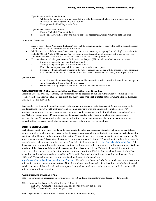- If you have a specific space in mind...
	- o While on the main page, you will see a list of available spaces and when you find the space you are interested in click the green "reserve" button
	- o Then, proceed with filling out the form
- If you have a specific time in mind...
	- o Use the "Schedule" button at the top
	- o Then click the "Find a Time" and fill out the form accordingly, which requires a date and time

Notes about the spaces:

- Space is reserved on a "first come, first serve" basis but the BioAdmin unit does reserve the right to make changes in order to make accommodations on the basis of equity.
- Lab Meetings can only be requested on a quarterly basis and are currently accepting "Lab Meeting" reservations for the Fall 2021 and Winter 2022 quarters. We will begin to accept request for lab meetings at the beginning of the previous quarter (i.e. since Fall 2021 starts next week we are now accepting Winter 2022).
- If cleaning is required after your event, a Facility Service Request (FSR) should be submitted with your request.
	- o Cleaning is required if your event will have food
	- o Cleaning is required if your event will produce trash
	- o If there is food at your event, all food must be removed from the space
	- o If space is left unmaintained, we reserve the right to process an FSR that will be charged to your department
	- o FSR should be submitted into the FSR system 6-2 weeks (2 weeks the very latest) prior to your event

General Rules

- o As this is a recently renovated space, we would like these efforts as best possible. Please do not use tape on the walls, easels will be available for use instead.
- o Set-up and clean-up for your event HAS TO BE included in your reservation.

#### **COPYING/PRINTING (for poster printing see Illustrations and Graphics)**

Students: Copiers, printers, scanners, and computers can be accessed in our Bio Admin Group computing lab in Hershey Hall 150. Graduate students can print 250 b&w pages **free each quarter** at the Graduate Student Resource Center, located in SAC B-11.

TAs/Employees: Two additional black and white copiers are located in Life Sciences 3201 and are available to our department's faculty, staff, instructors and teaching assistants who are authorized to make copies. PIN numbers (copy codes) for instructional copying are issued to instructors and by the Graduate Counselors, Tessa and Melissa. Instructional PINs are issued for the current quarter only. There is no charge for instructional copying, but the PIN is required to allow us to control the usage of the machines; they are not available to the general public. Copying must be for university business only and not for personal use.

# **COURSE ENROLLMENT**

Each student must enroll in at least 12 units each quarter to status as a registered student. First enroll in any didactic courses you plan to take, and then make up the difference with research units. Students who have not yet advanced to candidacy should enroll in their mentor's 596 section. Those students who have advanced to candidacy enroll in 599 units, which designate "Dissertation Research." To find your mentor's 596 or 599 enrollment numbers to register for research units each quarter, go to the registrar's Schedule of Classes web site at <https://sa.ucla.edu/ro/public/soc>. Select the current term and your home department, and then scroll down to find your mentor's enrollment number. **Students must enroll in classes by Friday of the second week of classes each term.** Failure to do so will indicate to the University that you are not a full-time student, and may result in a \$50 late fine levied by the registrar's office, being dropped from classes, and the cancelling of fellowship funds and academic apprenticeship employment (TAs, GSRs, etc). This deadline as well as others is listed on the registrar's calendar at

[http://www.gdnet.ucla.edu/asis/deadlines/default.asp.](http://www.gdnet.ucla.edu/asis/deadlines/default.asp) Consult your Graduate SAO, Tessa or Melissa, if you need more information on the courses you are to take. Note that students must be enrolled in at least four units before financial aid checks can be disbursed, and students employed as graduate student researchers must be enrolled in at least 12 units to obtain full fee remissions.

### **COURSE NUMERATION AT UCLA**

**100s** – Upper division undergraduate level courses (up to 8 units are applicable toward degree if letter graded)

- **200s** Graduate level courses (applicable toward degree) **EEB 296** – Graduate seminars, in EEB this is often a weekly lab meeting **EEB 297** – Graduate seminars/ special topics
- **300s**  Specialized teacher training courses (not applicable toward degree)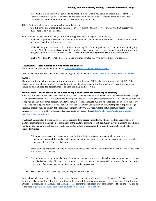**LS or EEB 375** is a four-unit course to be enrolled in each time you serve as a teaching assistant. This provides credit for your TA experience and space on your study list. Students enroll in the section assigned to the instructor of the class for which they are TAing.

**400s** – Professional courses (not applicable toward degree)

**LS 495** is the departmental TA training course. It must be taken before or during the first quarter you TA. There is only one section.

**500s –** Individual Study and Research (up to 8 units are applicable toward degree if letter graded)

**EEB 596** is graduate research for students who have not yet advanced to candidacy. Students enroll in the section assigned to their research advisor.

**EEB 597** is graduate research for students preparing for MA Comprehensive Exams or PhD. Qualifying Exams. Not all research advisors use this number; check with your advisor. Students enroll in the section assigned to your research advisor. **NOTE: These units are not eligible for 596/8/9 research funds.**

**EEB 599** is PhD Dissertation Research and Writing, for students who have advanced to candidacy.

### **DEADLINES (Term Calendar & Graduate Deadlines)**

The Academic Calendar can be found here - <https://www.registrar.ucla.edu/Term-Calendar>

Graduate Division publishes deadlines specific to graduate students here <https://grad.ucla.edu/academics/calendar/>

### **FAXES**

There is one fax machine located in the mailroom in Life Sciences 3102 . The fax number is (310) 206-3987. Please record the phone number you are faxing to on the sheet next to the fax machine. These fax machines should be only utilized for departmental business, sending, and receiving.

# **FILING FEE (special status to use when filing a thesis and not enrolling in courses)**

Filing Fee is intended for students who are in good academic standing and who have completed all degree requirements except for filing their dissertation or thesis, submitting their capstone project, or taking their comprehensive exam, and who do not want to register (and pay fees) for an academic quarter or summer session. Graduate students who meet the criteria below can apply for a Filing Fee and pay a nominal fee of \$188 in lieu of standard tuition and registration fees. **During the Filing Fee Usage Period, a student may no longer: take courses, be employed by UCLA, receive financial support, or access certain campus services** (for a full list of suspended and continued services, go here[: https://grad.ucla.edu/academics/graduate](https://grad.ucla.edu/academics/graduate-study/filing-fee-application/)[study/filing-fee-application/\)](https://grad.ucla.edu/academics/graduate-study/filing-fee-application/).

If a student has completed, while registered, all requirements for a degree except for the filing of the thesis/dissertation, or master's comprehensive examination or submission of the master's capstone project, the student may be eligible to pay a Filing Fee during the quarter in which the degree is to be awarded instead of registering. Four conditions must be satisfied to be eligible for this fee:

- 1. All formal requirements for the degree, except for filing the thesis/dissertation and/or taking the master's comprehensive/doctoral final oral examination or submitting the master's comprehensive capstone project, must be completed before the first day of classes;
- 2. Since last being registered and up to the first day of classes, the combined use of University facilities and faculty time must not exceed 12 hours;
- 3. During the quarter in question, the thesis/dissertation committee suggested only stylistic and/or typographical changes in the thesis/dissertation OR, in the case of master's comprehensive examinations OR, in the case of master's capstone projects, the faculty only graded the final comprehensive project; and
- 4. The student must have been registered in the previous academic term.

To establish eligibility to pay the Filing Fee, please first consult with your Student Affairs Officer, Tessa or Melissa. To submit a Filing Fee application all the above requirements have been met. If the filing of a thesis or dissertation is involved, the thesis/doctoral committee members must also approve. The online form can be found here [https://grad.ucla.edu/academics/graduate-study/filing-fee-application/.](https://grad.ucla.edu/academics/graduate-study/filing-fee-application/)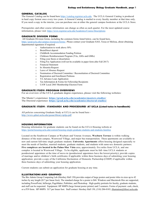#### **GENERAL CATALOG**

The General Catalog can be found here [https://catalog.registrar.ucla.edu.](https://catalog.registrar.ucla.edu/) The UCLA General Catalog is produced in hard copy format once every two years. A General Catalog is mailed to every faculty member at that time only. If you need a copy in the interim, you can purchase one at either the general campus bookstore at the UCLA Store.

Prerequisites and other course information can change as often as each quarter. For the most updated course information, please visit:<https://www.registrar.ucla.edu/Academics/Course-Descriptions>

# **GRADUATE DIVISION FORMS**

All Graduate Division forms, including the common forms listed below, can be found here,

[https://grad.ucla.edu/campus-resources/forms/.](https://grad.ucla.edu/campus-resources/forms/) Please contact your Graduate SAO, Tessa or Melissa, about obtaining departmental signatures if required.

- o Authorization to work above 50%
- o BruinDirect deposit
- o Childbirth Accommodation Funding Petition
- o Childcare Reimbursement Program (TAs, ASEs and GSRs)
- o Filing your thesis or dissertation
- o Filing Fee Application (will not be available in paper form after Fall 2017)
- o Financial Statement
- o In Absentia Request
- o Leave of Absence Request
- o Nomination of Doctoral Committee / Reconstitution of Doctoral Committee
- o Registration and Enrollment Petitions
- o TA Advance Loan Application
- o Tax Information & Forms for Fellowship Recipients
- o UAW Local 2865 Membership Election Form

#### **GRADUATE STUDY: PROGRAM OVERVIEWS**

For an overview of the UCLA graduate degree experience, please visit the following websites:

The Master's experience: **<https://grad.ucla.edu/academics/masters-studies/>** The Doctoral experience: **<https://grad.ucla.edu/academics/doctoral-studies/>**

### **GRADUATE STUDY: STANDARDS AND PROCEDURES AT UCLA (Listed twice in handbook)**

All policies concerning Graduate Study at UCLA can be found here <http://www.gdnet.ucla.edu/gasaa/library/spfgs.pdf>

### **HOUSING INFORMATION**

Housing information for graduate students can be found on the UCLA Housing website at <https://portal.housing.ucla.edu/content/housing-single-graduate-students-and-students-families>

Located on the Southwest Campus at Weyburn and Veteran Avenues, **Weyburn Terrace** is within walking distance of the main campus, Westwood Village, and major bus transportation. These apartments are available to new and current full-time single graduate students. **University Apartments** offers housing designed especially to meet the needs of families, married students, graduate students, and students with same-sex domestic partners. **Five complexes are located in the Palms-Mar Vista** area, approximately five miles from UCLA, and one complex is located in Westwood Village. To be eligible, applicants must be full- time UCLA students or postdoctoral appointees at the time of move-in (postdoctoral appointees have the lowest priority); provide copies of marriage and/or children's birth certificates if applicable within three business days of submitting your housing application; provide a copy of the California Declaration of Domestic Partnership (CDDP) if applicable within three business days of submitting your housing application.

Current students can submit an application for graduate housing at any time.

### **ILLUSTRATIONS AND GRAPHICS**

The Bio Admin Group Computing Lab (Hershey Hall 150) provides output of large posters and poster titles in sizes up to 42 inches by any length (\$17 per linear foot). The standard charge for a poster is \$68. Windows and Macintosh files are supported, including PowerPoint, InDesign, PageMaker, Publisher, and Photoshop. High quality portraits for faculty, graduate students, and staff can be requested. Equipment: HP 800PS (large format poster printer) and 2 scanners. Forms of payment: cash, check, or a P39 form. HP 800PS: \$17 per linear foot. Staff contact: Hershey Hall 150, (310) 206-0185[, illustration@lifesci.ucla.edu.](mailto:illustration@lifesci.ucla.edu)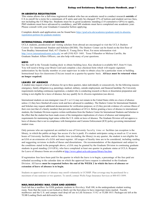### **IN ABSENTIA REGISTRATION**

This status allows for a full-time registered student who has an academic need to conduct research **outside** of CA to enroll for a term for a minimum of 8 units and only be charged 15% of tuition and student service fees, not including the UCShip fee. Students must be in good academic standing (3.0 cumulative GPA) to apply, PhD students must have advanced to candidacy, and MS students must have completed one academic year. Please consult with your Graduate Counselor before applying.

Complete details and application can be found here [https://grad.ucla.edu/academics/graduate-study/in-absentia](https://grad.ucla.edu/academics/graduate-study/in-absentia-registration-petition-for-graduate-students/)[registration-petition-for-graduate-students/](https://grad.ucla.edu/academics/graduate-study/in-absentia-registration-petition-for-graduate-students/)

### **INTERNATIONAL STUDENT CENTER**

UCLA students, postdoctoral and visiting scholars from abroad are encouraged to visit the UCLA Dashew Center for International Student and Scholars (DCISS). The Dashew Center can be found on the first floor of Tom Bradley International Hall, 417 Charles E. Young Drive West. For more information visit <http://www.internationalcenter.ucla.edu/> or call (310) 825- 1681. Tessa Villaseñor or Melissa Carrillo, the Graduate Student Affairs Officers, can also help with many of your questions.

### **KEYS**

See the staff in the Terasaki loading dock to obtain building keys. Key checkout is available M-F, from 9-11am. You will need to bring your Bruin Card and complete a key checkout form which will require signature authorization by the faculty member or your supervisor in order to obtain a key for a particular room or building. Instructional keys for classrooms (TAs) are issued on a quarter-by-quarter basis. **All keys must be returned when no longer required.**

### **LEAVES OF ABSENCE**

A student may request a leave of absence for up to three quarters, taken individually or consecutively, for the following reasons: emergency, family obligation (e.g, parenting), medical, military, outside employment, and financial hardship. Per University requirements including continuous registration, a student who is conducting research or thesis or dissertation preparation and writing is not eligible for a leave of absence, but *may* qualify for *In Absentia* registration (see above).

International students on non-immigrant visas (F-1 or J-1) may not remain in the United States while on a leave of absence unless: (1) they have finished all course work and have advanced to candidacy. The Dashew Center for International Students and Scholars may request additional documentation for verification purposes; or (2) they provide evidence of a serious illness of their own (not that of a family member) that prevents attendance at UCLA. Before granting a leave of absence to international students, the Graduate Division requires written notification from the Dashew Center for International Students and Scholars to the effect that the student has been made aware of the immigration implications of a leave of absence and immigration requirements for maintaining legal status within the U.S. while on leave of absence. The Graduate Division will not approve a leave of absence that is not in compliance with Immigration and Customs Enforcement (ICE) policy governing international student visas.

Only persons who are registered are entitled to use of University faculty time or facilities (an exception is the library, to which the public-at-large has access if a fee is paid). If a student anticipates using as much as 12 or more hours of University facilities and/or faculty time (excluding the library) in any quarter, the student is not eligible for an LOA or an extension of a LOA and must register. All usages of faculty time are to be considered, including reading and suggesting revisions to drafts of theses and dissertations. On recommendation of the department and subject to the conditions stated in the paragraph above, a LOA may be granted by the Graduate Division to continuing graduate students in good standing (3.0 GPA), who have completed at least one quarter in graduate status at UCLA. Request for Leave of Absence forms are available at [http://www.gdnet.ucla.edu/gasaa/library/loa.htm.](http://www.gdnet.ucla.edu/gasaa/library/loa.htm)

If registration fees have been paid for the quarter in which the leave is to begin, a percentage of the fees paid are refunded according to the calendar date on which the approved leave request is submitted to the Graduate Division. All leaves **must be requested before the end of the WEEK 2 in which the leave of absence or extension of leave of absence is to begin.**

Students on approved leave of absence may enroll voluntarily in UCSHIP. Plan coverage may be purchased for a maximum of one semester or two quarters. To enroll, contact Wells Fargo Insurance Services at 800-853-5899.

### **MAIL/MAILBOXES/ MAIL CODE AND ADDRESS**

Each lab has a mailbox for EEB graduate students in Hershey Hall 100, in the undergraduate student waiting room. Note that the room is not locked so likely not the best place to have important items mailed. Faculty mailboxes and the U.S. and campus mail drop off are in Life Sciences 310 2 or TLSB 1015. Packages are left at the TLSB Loading Dock and delivered to labs.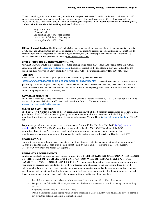There is no charge for on-campus mail; include **our campus mail code, 724605**, in the return address. All offcampus mail requires a recharge number or prepaid postage. The mailboxes are for UCLA business only and should not be used for sending personal mail or recurring subscriptions. **For special deliveries or recurring mail, students should use their lab mailing address.** Delivers are

> c/o (Your Name) (PI name) Lab Lab building and room/office number University of California, Los Angeles Los Angeles, CA 90095-7246

**Office of Ombuds Services:** The Office of Ombuds Services is a place where members of the UCLA community–students, faculty, staff and administrators–can go for assistance in resolving conflicts, disputes or complaints on an informal basis. In order to afford visitors the greatest freedom in using its services, the Office is independent, neutral and confidential. To contact the Ombuds office, please email them at [ombuds@conet.ucla.edu](mailto:ombuds@conet.ucla.edu)

### **OFFICE HOURS (ROOM RESERVATIONS for TAs)**

Any EEB TAs who would like to reserve a room for holding office hours may contact Ana Padilla at the Bio Admin Scheduling office at [scheduling@lifesci.ucla.edu.](mailto:scheduling@lifesci.ucla.edu) Rooms are located on the third floor in Hershey Hall and the LS building and are reserved on a first come, first served basis. (Office hour rooms: Hershey Hall 309, 316, 318.)

#### **PARKING**

Students should apply for parking through UCLA Transportation by specified deadlines

(<https://www.transportation.ucla.edu/campus-parking/students>). The department reserves a limited number of quarterly spaces for employees (Teaching Assistants and Graduate Student Researchers included). If students are not able to successfully secure a student pass and would like to apply for one of these spaces, please see Ora Rutherford-Green in the Bio Admin Group Payroll Office (230 Hershey Hall).

# **PAYROLL/PERSONNEL**

The Payroll/Personnel Office for our area (Bio Admin Group) is located in Hershey Hall 230. For contact names and email, please visit the "Staff Personnel" section of the Staff directory here <https://www.eeb.ucla.edu/staff/#personnel>

## **PLANT GROWTH CENTER**

The Plant Growth Center is a state-of-the-art greenhouse center, which has 6 research greenhouses and 1 educational greenhouse. The PGC also houses 12 plant growth chambers located in the basement of the building. PGC operational questions can be addressed to Greenhouse Manager, Weimin Deng [\(wdeng@lifesci.ucla.edu,](mailto:wdeng@lifesci.ucla.edu,) or 310-825- 4687).

Request for greenhouse bench space can be addressed to Cyndie Kelly, Hershey Hall 249(ckelly@lifesci.u cla.edu, 310 825-6770) or Dr. Chentao Lin, [\(clin@mcdb.ucla.edu,](mailto:(clin@mcdb.ucla.edu) 310-206-9576), chair of the PGC committee. Entry to the PGC requires faculty authorization, and only persons growing plants in the greenhouses or chambers are authorized to enter. For authorization, see Cyndie Kelly in Hershey Hall 249.

### **REGISTRATION**

In order to be considered an officially registered full-time student, graduate students must enroll in a minimum of 12 units per quarter, and all fees must be paid must be paid by the deadlines – September  $20<sup>th</sup>$  (Fall quarter), December  $20<sup>th</sup>$  (Winter), and March  $20<sup>th</sup>$  (Spring).

#### **RESIDENCY REQUIREMENTS**

California residents do not pay nonresident tuition. **YOU MUST ESTABLISH CALIFORNIA RESIDENCY BY THE START OF YOUR SECOND YEAR, OR YOU WILL BE RESPONSIBLE FOR THE PAYMENT OF YOUR NONRESIDENT TUITION** . You must demonstrate your intent to make California your home by severing your residential ties with your former state of residence and establishing those ties with California shortly after arrival. If the requisite intent is not demonstrated promptly, the waiting period for residence classification will be extended until both presence and intent have been demonstrated for the entire one-year period.

There are several things you must do shortly after arriving in California. Some of these include...

- Establish a permanent home where your belongings are kept and set up utility bills at the residence.
- Designate your California address as permanent on all school and employment records, including current military records.
- Register to vote and vote in California elections.
- Obtain a California driver's license within 10 days of settling in California. (If you've never had a driver's license in any state, then obtain a California identification card.)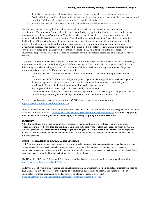- If you have a car, obtain a California motor vehicle registration within 20 days of settling in California.
- Work in California and file California resident income tax forms from the date of entry into the state. Income earned outside of California after that date must also be declared in California.
- Establish and maintain active bank accounts in California banks and close out-of-state accounts.

Documentary evidence is required and all relevant indications will be considered in determining your classification. The absence of these indicia in other states during any period for which you claim residence can also serve as an indication of your intent. Your intent will be questioned if you return to your prior state of residence when the University is not in session. You should make a duplicate file of everything you submit to the Residency Office with the date of submission on each item. If you are a nonresident student who is in the process of establishing a residence for tuition purposes and you return to your former home during noninstructional periods, your presence in the state will be presumed to be solely for educational purposes and only convincing evidence to the contrary will rebut this presumption. (A student who is in the state solely for educational purposes will NOT be classified as a resident for tuition purposes regardless of the length of his or her stay).

If you are a student who has been classified as a resident for tuition purposes and you leave the state temporarily, your absence could result in the loss of your California residence. The burden will be on you to verify that you did nothing inconsistent with your claim of a continuing California residence during your absence. Steps that you should take to retain a California residence include:

- Continue to use a California permanent address on all records -- educational, employment, military, etc.
- Continue to satisfy California tax obligations (Note: if you are claiming California residence, you are liable for payment of income taxes on your total income from the date that you establish your residence in the state, including income earned in another state or country)
- Retain your California voter registration and vote by absentee ballot
- Maintain a California Driver License and vehicle registration. If it is necessary to change your license or vehicle registration, you must change them back within the time prescribed by law

Please refer to this graduate student fact sheet from UC OGC about residency for tuition purposes: [http://ucop.edu/residency/10-things-grads.html.](http://ucop.edu/residency/10-things-grads.html)

Contact the Residence Deputy at 1113 Murphy Hall, (310) 825-3447 or through MyUCLA Message Center, for more residency information or visit <http://registrar.ucla.edu/Fees-Residence/Residence-Requirements>**. By University policy, only the Residence Deputy is authorized to apply and interpret policy on tuition residency.**

# **SECURITY**

All of the buildings are locked down in the evenings, weekends and holidays. If there is an event or class scheduled during off-hours, then the building is unlocked until that event or class has ended. To reach the UCLA Police Department, call **51491 from a campus phone or (310) 825-1491 from a cell phone.** For emergencies, dialing 911 from a campus phone will route you to UCLA Police; dialing 911 from a cell phone will route to the LA Police Department.

# **SEXUAL HARASSMENT POLICY & PREVENTION**

UCLA policy defines sexual harassment as follows**:** Unwelcome sexual advances, requests for sexual favors, and other verbal, nonverbal, or physical conduct of a sexual nature. It is conduct that explicitly or implicitly affects a person's employment or education or interferes with a person's work or educational performance or creates an environment such that a reasonable person would find the conduct intimidating, hostile or offensive.

The UC and UCLA, and Policies and Procedures as well as Federal law on sexual harassment can be found here, [http://www.sexualviolence.ucla.edu/Policies.](http://www.sexualviolence.ucla.edu/Policies) 

Under the UC Policy on Sexual Violence and Sexual Harassment, UCLA **employees (including student employees such as TAs, GSRs, Readers, Tutors, etc) are obligated to report sexual harassment and sexual violence** to the Title IX Coordinator. For more information on the Responsible Employee Obligation, please visit <https://sexualharassment.ucla.edu/reporting/responsible-employees-mandated-reporter>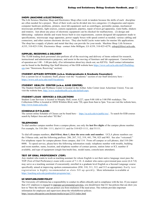#### **SHOPS (MACHINE &ELECTRONICS)**

The Life Science Machine Shop and Electronics Shop often work in tandem because the skills of each discipline are often needed for a project. Most of their work can be divided into two categories: (1) diagnostics and repairs: computer hardware problems, printers, most lab equipment such as centrifuges, peristaltic pumps, mechanical microscope problems, light sources, camera equipment, pipettes, repair of most gel apparatus, water baths, shakers and rotators. Just about any piece of electronic equipment can be checked for malfunctions. (2) design and fabricating: radiation shields and waste boxes built to size requirements, custom designed lab equipment made to specifications, microscope stage apparatus, power supply boxes with speed control as needed, various cabling and connectors, and other custom electronic devices. They also build Lucite water tanks for marine life applications. The shop has a supply of plastic and metal that they can provide for your needs. Machine Shop: Life Sciences A335, 310-825-3184, Electronics Shop: contact John Milligan, LS A339, 310-825-4279, [eshop@lifesci.ucla.edu.](mailto:eshop@lifesci.ucla.edu)

### **SUPPLIES, RECEIVING & DELIVERY**

The TLSB loading dock personnel also perform all of the receiving and delivery of items ordered for research, instructional and administrative purposes, and assist in the moving of furniture and lab equipment. Current hours of operation are 1:00 – 3:00 pm daily. (For information about key check-out, see KEYS). Staff contact information can be found in the Building Ops Staff directory of the EEB website here [https://www.eeb.ucla.edu/staff/#building](https://www.eeb.ucla.edu/staff/#building-ops)[ops](https://www.eeb.ucla.edu/staff/#building-ops) (see "Storeroom, Receiving" section)

### **STUDENT AFFAIRS OFFICERS (a.k.a. Undergraduate & Graduate Counselors)**

For a current list of Academic Staff, please visit the "Academic" section of our Staff directory here <https://www.eeb.ucla.edu/staff/#academic>

### **STUDENT HEALTH CENTER (a.k.a. ASHE CENTER)**

The Student Health and Wellness Center is located in the Arthur Ashe Center (near Ackerman Union). You can visit the website here[, http://www.studenthealth.ucla.edu/default.aspx.](http://www.studenthealth.ucla.edu/default.aspx)

### **STUDENT LOAN SERVICES & COLLECTIONS**

Student Loan Services is located in Murphy Hall, room A227, open 9:00 AM to 5:00 PM weekdays. The Collections Office is located at 10920 Wilshire Blvd, suite 720, open from 8am to 5pm. You can visit the website here, [http://www.loans.ucla.edu/.](http://www.loans.ucla.edu/)

# **SCHEDULE O F CLASSES**

The current online Schedule of Classes can be found here - <https://sa.ucla.edu/ro/public/soc/> . To search for EEB courses search by Subject Area and select "EE Bio".

# **TELEPHONES**

To dial another campus number from a campus phone, use only the **last five digits** of the campus phone number. For example, for 310-206- 1111, dial 61111 and for 310-825-1111, dial 51111.

To dial off-campus numbers, **dial 8 first, then 1, then the area code and number**. UCLA phone numbers use the 310area code, and the following prefixes: 206, 267, 312, 319, 441, 794, 825 and 983. See also "voicemail." For telephone repair for campus phones from campus, dial 114. From off campus or cell phones, dial 310-206- 0008. To speed service, please have the following information ready: telephone number with trouble, building and room number, name, location, and telephone number of contact person, station letter or ICL number if available, and type of equipment (single-line/multi-line, model name, console/auto attendant).

### **TEST OF ORAL PROFICIENCY (TOP)**

Any student who wants to work as teaching assistant for whom English is not their native language must pass the TOP (Test of Oral Proficiency) exam with a score of 7.1-10. A student who earns a provisional pass score (6.4-7.0) may serve as a teaching assistant if concurrently enrolled in a graduate level English as a Second Language course specifically aimed at improving spoken communication (ESL 310, 311, 312, and 313 as appropriate). Early test registration is highly recommended as slots fill up quickly. More information is available a[t](https://teaching.ucla.edu/gradstudent-programs/top/) [https://teaching.ucla.edu/gradstudent-programs/top/ .](https://teaching.ucla.edu/gradstudent-programs/top/)

# **[UC](https://www.ucop.edu/uc-whistleblower/index.html) WHISTLEBLOWER POLICY**

The University of California has a responsibility to conduct its affairs ethically and in compliance with the law. If you suspect that a UC employee is engaged in improper [governmental](https://www.ucop.edu/uc-whistleblower/faqs/faq-being-a-whistleblower.html#5) activities, you should know that UC has policies that can show you how to "blow the whistle" and can protect you from retaliation if the need arises. This website provides important information for employees and supervisors about the whistleblower policies. <https://secure.ethicspoint.com/domain/media/en/gui/23531/index.html>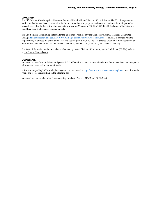#### **VIVARIUM**

The Life Science Vivarium primarily serves faculty affiliated with the Division of Life Sciences. The Vivarium personnel work with faculty members to insure all animals are housed in the appropriate environment conditions for their particular research needs. For further information contact the Vivarium Manager at 310-206-3355. Established users of the Vivarium should see their fund manager to order animals.

The Life Sciences Vivarium operates under the guidelines established by the Chancellor's Animal Research Committee (ARC) <http://ora.research.ucla.edu/RSAWA/ARC/Pages/administrative/ARC-admin.aspx> . The ARC is charged with the responsibility to oversee the entire animal care and use program at UCLA. The Life Science Vivarium is fully accredited by the American Association for Accreditation of Laboratory Animal Care (AAALAC) <http://www.aaalac.org/> .

For further information on the use and care of animals go to the Division of Laboratory Animal Medicine (DLAM) website at <http://www.dlam.ucla.edu/>

#### **VOICEMAIL**

Voicemail via the Campus Telephone Systems is \$.6.00/month and must be covered under the faculty member's basic telephone allowance or recharged to non-grant funds.

Information regarding UCLA's telephone systems can be viewed at <https://www.it.ucla.edu/services/telephone> then click on the Phone and Voice Services link on the left menu bar.

Voicemail service may be ordered by contacting Humberto Barba at 310-825-4179, LS 2108.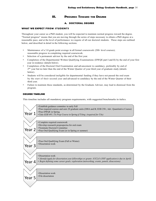# **III. PROGRESS TOWARD THE DEGREE**

# **A. DOCTORAL DEGREE**

# <span id="page-13-0"></span>**WHAT WE EXPECT FROM STUDENTS**

Throughout your career as a PhD student, you will be expected to maintain normal progress toward the degree. "Normal progress" means that you are moving through the series of steps necessary to obtain a PhD degree at a reasonable pace, and at the level of performance we require of all our doctoral students. These steps are outlined below, and described in detail in the following sections.

- Maintenance of a 3.0 grade point average in all formal coursework (200- level courses); reasonable progress in completing required coursework.
- Selection of a permanent advisor by the end of the first year.
- Completion of the Departmental Written Qualifying Examinations (DWQE part I and II) by the end of your first year in residence (details below).
- Completion of the Doctoral Oral Examination and advancement to candidacy, preferably by end of 2<sup>nd</sup> year but no later than the end of the Winter Quarter of your third year of graduate study (details below).
- Students will be considered ineligible for departmental funding if they have not passed the oral exam by the start of their second year and advanced to candidacy by the end of the Winter Quarter of their third year.
- Failure to maintain these standards, as determined by the Graduate Adviser, may lead to dismissal from the program.

# **DEGREE TIMELINE**

This timeline includes all mandatory program requirements, with suggested benchmarks in italics.

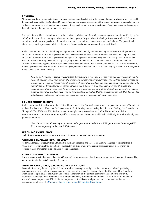### **ADVISING**

All academic affairs for graduate students in the department are directed by the departmental graduate adviser who is assisted by the administrative staff of the Graduate Division. The graduate adviser establishes, at the time of admission to graduate study, a guidance committee for each student that consists of three faculty members for each student. The guidance committee supports the student until a doctoral committee is established.

The chair of the guidance committee acts as the provisional adviser until the student secures a permanent adviser, ideally by the end of the first year. Service as a provisional adviser is designed to be provisional for both professor and student. It does not commit the professor to supervise the dissertation, nor does it commit the student to a provisional adviser. The provisional adviser serves until a permanent adviser is found and the doctoral dissertation committee is established.

Students are required, as part of their degree requirements, to find a faculty member who agrees to serve as their permanent adviser and dissertation research supervisor/chair of the doctoral committee. Students who fail to find or retain a permanent adviser and dissertation research supervisor will be placed in departmental probationary status for one quarter. If the student does not find an adviser by the end of that quarter, they are recommended for academic disqualification to the Graduate Division. Students are urged to discuss permanent sponsorship and dissertation research with faculty at the earliest opportunity, to pick a permanent adviser by the end of their first year, and are expected to advance to candidacy by the end of Winter Quarter of their third year of graduate study.

*Note on the formation of guidance committees: Each student is responsible for securing a guidance committee at the start Fall quarter, which must consist of a provisional advisor and two faculty members. Students should arrange an introductory meeting for the start of Fall quarter with committee members and complete a first-year course plan to be submitted to the Graduate Student Affairs Officer, Tessa Villasenor, once completed. During Fall quarter the guidance committee is responsible for developing a first-year course plan with the student, and during Spring quarter guidance committee members must evaluate the Departmental Written Qualifying Examination (DWQE). In many but not all cases, guidance committee members may later serve on a student's doctoral committee.*

# **COURSE REQUIREMENTS**

Students must enroll for full-time study as defined by the university. Doctoral students must complete a minimum of 20 units of graduate-level courses (200-series). Students must take the following courses during their first year: Ecology and Evolutionary Biology M200A, 200B, and 250. Students also must complete an advanced course (100 or 200 series) in statistics, biomathematics, or bioinformatics. Other specific course recommendations are established individually for each student by the guidance committee.

*Note: Students are also strongly recommended to participate in the 1 unit EEB Quantitative Bootcamp (EEB 201) at the beginning of the first Fall Quarter.*

### **TEACHING EXPERIENCE**

Each student is required to serve a minimum of **three terms** as a teaching assistant.

#### **FOREIGN LANGUAGE REQUIREMENT**

No foreign language is required for admission to the Ph.D. program, and there is no uniform language requirement for the Ph.D. degree. However, at the discretion of the faculty, students who pursue certain subspecialties of biology may be required to gain proficiency in one or more foreign languages.

#### **NORMATIVE TIME TO DEGREE**

The normative time to degree is 18 quarters (6 years). The normative time to advance to candidacy is 6 quarters (2 years). The maximum time to degree is 24 quarters (8 years).

#### **WRITTEN AND ORAL QUALIFYING EXAMINATIONS**

Academic Senate regulations require all doctoral students to complete and pass university written and oral qualifying examinations prior to doctoral advancement to candidacy. Also, under Senate regulations, the University Oral Qualifying Examination is open only to the student and appointed members of the doctoral committee. In addition to university requirements, some graduate programs have other pre-candidacy examination requirements. What follows in this section is how students are required to fulfill all of these requirements for this doctoral program. All committee nominations and reconstitutions adhere to the Minimum Standards for Doctoral Committee [Constitution.](https://grad.ucla.edu/academics/doctoral-studies/minimum-standards-for-doctoral-committee-constitution-effective-2016-fall/)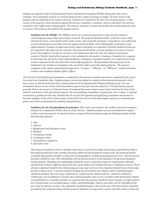### **Ecology and Evolutionary Biology Graduate Handbook, page** 16

Students are required to take the Departmental Written Qualifying Examination (DWQE) during their first year in residence. The examination consists of a research proposal that is eight to ten pages in length. The first version of the proposal must be submitted to the student's advisory committee for comment by the first week of spring quarter. A final version of the proposal, which should incorporate the advisory committee's comments, must be submitted to the advisory committee in the eighth week of spring quarter. The advisory committee evaluates and grades the research proposal as pass or not pass. The results are forwarded to the graduate adviser.

*Guidelines for the DWQE: The DWQE consists of a research proposal on a topic that the student is considering pursuing in their dissertation research. The proposal should include a scholarly review of the* relevant literature, a description of the study system, a list of specific questions or hypotheses to be addressed, *as much information as possible about the approach and methods, and a bibliography of literature cited (approximately 10 pages of single-spaced text; figures and tables are optional). Detailed method sections are* not expected at this stage but are welcome. The proposal should be a serious attempt to develop a research *project that might be carried out, but there is no requirement that it become the student's dissertation* research. The first draft of the proposal is to be submitted to the student's Guidance Committee for comment no later than the end of first week of Spring Quarter. Guidance Committee members are required to provide written comments by the end of the third week of Spring Quarter. The final draft of the proposal is to be *submitted to the Guidance Committee at the end of the tenth week of the Spring Quarter. The advisory* committee will evaluate and grade the proposal as "not pass," "MS pass," or "PhD pass" and forward these *results to the Graduate Student Affairs Officer.* 

The University Oral Qualifying Examination is conducted by the doctoral committee and must be completed by the end of the second year of graduate study. Students prepare, present and defend an original written dissertation proposal, which may or may not directly build upon their research proposal for the Departmental Written Qualifying Exam. The oral examination focuses on the content of the dissertation proposal and topics directly related to it. The dissertation proposal generally follows the format of a National Science Foundation Dissertation Improvement Grant and forms the basis of the student's oral defense of the dissertation proposal. The oral qualifying examination is graded pass, fail, or repeat. A repeated examination is graded pass/fail only. Students who do not pass this repeated oral qualifying examination and advance to doctoral candidacy by the end of winter quarter of their third year will lose fellowship support and access to departmental grants, and will be recommended for academic disqualification.

*Guidelines for the Oral Qualifying Examination*: *This exam is presented to the student's doctoral committee* and must be completed by Winter quarter of the 3rd year. Students prepare, present and defend an original *written research proposal. No specific format is required but dissertation proposals should generally include the following elements:*

- *1. Title*
- *2. Abstract 3. Background and literature review 4. Methods 5. Preliminary results 6. Contingency plans 7. Timetable for completion 8. Literature cited.*

The proposal should be written as though readers have no prior knowledge of the project and should include a *thorough introduction to the scientific questions addressed and hypotheses being tested. The proposal should exemplify high-quality scientific writing, free of typographical, spelling and grammatical errors, and all relevant literature should be cited. The relationship of the proposed research to the hypotheses being tested should be stated explicitly. Headings and subheadings should be used to clarify the proposal's organization. Methods* should be described in sufficient detail that they can be understood without reference to additional sources. Work already completed should be described using past tense and work yet to be completed should be described using *present or future tense. A tentative plan for dividing the dissertation into chapters and/or published papers* should be included. The role of any collaborators, aside from the student's advisor, should be clarified (a collaborator can be defined as a person who could reasonably expect to be a coauthor if the dissertation chapter were published in a scientific journal). As a general rule the proposal should be about 10 pages of single-spaced text (12 point font), not including figures, tables, and bibliography. Figures and tables can be embedded in the text or put in separate sections. Any submitted or published papers that will be part of the dissertation should be provided to the committee along with the proposal. Students are expected to consult with their advisors about the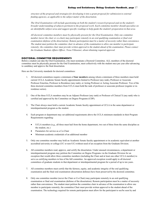structure of the proposal and strategies for developing it into a grant proposal for submission to external *funding agencies, as applicable to the subject matter of the dissertation.*

*The Oral Examination will include questioning on both the student's research proposal and on the student's broader understanding of subjects pertinent to the proposed work. Each committee member should specialize on* an identifiable subject area and suggest specific readings to help guide the student's preparation in that area.

*All doctoral committee members must by physically present for the Oral Examination. Only one committee member (never the chair or co-chair) may participate remotely in an oral qualifying examination or final oral examination (defense of the dissertation). Remote participation must be a matter of necessity rather than convenience. The student must petition the committee chair in advance of the examination to allow one member to participate remotely; the committee chair must provide written approval to the student ahead of the examination. Please contact the Graduate Students Affairs Officer, Tessa Villasenor, about obtaining required approval.*

### **DOCTORAL COMMITTEE REQUIREMENTS**

Before a student can take the Oral Examination, s/he must nominate a Doctoral Committee. ALL members of the doctoral committee must be physically present for the Oral Examination, meet collectively with the student once per year after advancing to candidacy and approve the final dissertation.

Here are the University standards for doctoral committees:

- 1. All doctoral committees require a minimum of **four members** among whom a minimum of three members must hold current UCLA Academic Senate faculty appointments limited to Professor (any rank), Professor or Associate Professor Emeritus, Professor in Residence (any rank), or Acting Professor or Acting Associate Professor. Two of the three doctoral committee members from UCLA must hold the rank of professor or associate professor (regular or inresidence series).
- 2. One of the three UCLA members may be an Adjunct Professor (any rank) or Professor of Clinical X (any rank) who is certified and approved by the Committee on Degree Programs (CDP).
- 3. The Chair always must hold a current Academic Senate faculty appointment at UCLA in the same department or interdepartmental program as the student.
- 4. Each program or department may set additional requirements above the UCLA minimum standards in their Program Requirements regarding:
	- UCLA members (e.g., all three must hail from the home department, two out of three from the same discipline as the student, etc.)
	- Parameters for service as a Co-Chair
	- Minimum academic credentials of an additional member
- 5. Only one committee member may hold an Academic Senate faculty appointment or its academic equivalent at another accredited university or college (UC or non-UC) without need of an exception from the Graduate Division.
- 6. All committee members read, approve, and certify the dissertation. Under unusual circumstances, a department or interdepartmental program may petition the Committee on Degree Programs via the Graduate Division for an exception that would allow three committee members (including the Chair and at least one other UCLA member) to serve as certifying members in lieu of the full committee. An approved exception would apply to all doctoral committees of graduate students in that department or interdepartmental program for a period of up to ten years.
- 7. All committee members must certify that the fairness, equity, and academic integrity of the oral qualifying examination and the final oral examination (dissertation defense) have been preserved by the doctoral committee.
- 8. Only one committee member (never the Chair or Co-Chair) may participate remotely in an oral qualifying examination or final oral examination (defense of the dissertation). Remote participation must be a matter of necessity rather than convenience. The student must petition the committee chair in advance of the examination to allow one member to participate remotely; the committee Chair must provide written approval to the student ahead of the examination. The technology required for remote participation must allow for the participant to see/be seen by and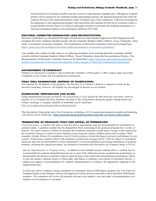### **Ecology and Evolutionary Biology Graduate Handbook, page** 18

hear/be heard by all committee members and have access to visual materials simultaneously. Although no exception petition will be required for one committee member participating remotely, the department/program must notify the Graduate Division of the remote participation within 14 business days of the examination. Under rare circumstances, the department or inter-departmental program Chair may petition the Graduate Division for an exception to allow a second member (not the Chair or Co-Chairs) to participate remotely in a doctoral oral qualifying examination or a final oral examination (defense of the dissertation). [Effective 2015 Fall]

# **DOCTORAL COMMITTEE NOMIMATION (AND RECONSTITUTION)**

Doctoral committees are nominated through a formal process that requires approval of the Department and Graduate Division. Students should consult with the Graduate Student Affairs Officer, Tessa Villaseñor, when ready to nominate committee members. The Nomination of Doctoral Committee form can be found here: [https://grad.ucla.edu/academics/doctoral-studies/nomination-of-doctoral-committee/.](https://grad.ucla.edu/academics/doctoral-studies/nomination-of-doctoral-committee/)

Any student who wishes to add, remove, or replacing members of an existing doctoral committee should consult with the Graduate Student Affairs Officer, Tessa Villaseñor, about the Reconstitution Process. The Reconstitution of Doctoral Committee form can be found here: [https://grad.ucla.edu/academics/doctoral](https://grad.ucla.edu/academics/doctoral-studies/reconstitution-of-the-doctoral-committee-andor-change-in-final-oral-examination-requirement/)[studies/reconstitution-of-the-doctoral-committee-andor-change-in-final-oral-examination-requirement/.](https://grad.ucla.edu/academics/doctoral-studies/reconstitution-of-the-doctoral-committee-andor-change-in-final-oral-examination-requirement/)

#### **ADVANCEMENT TO CANDIDACY**

Students are advanced to candidacy and awarded the Candidate in Philosophy (C.Phil.) degree upon successful completion of the written and oral qualifying examinations.

### **FINAL ORAL EXAMINATION (DEFENSE OF DISSERTATION)**

Not required for all students in the program. The decision as to whether a defense is required is made by the doctoral committee; however, all students are encouraged to present an exit seminar.

# **DISSERTATION PREPARATION AND FILING**

Filing informational sessions are held at the beginning of each quarter by staff from the University Archives and the UCLA Graduate Division. Students who plan to file a dissertation during the quarter should attend one of these meetings. A complete schedule of workshops can be found here: <http://www.gdnet.ucla.edu/gasaa/library/thesismtg.htm>

The dissertation filing portal and a list of resources, including a UCLA manuscript preparation guide and formatting web tutorial, can be found here, **[https://grad.ucla.edu/academics/graduate-study/file-your-thesis-or-dissertation/.](https://grad.ucla.edu/academics/graduate-study/file-your-thesis-or-dissertation/)**

# **TERMINATION OF GRADUATE STUDY AND APPEAL OF TERMINATION**

*University policy:* A student who fails to meet the above requirements may be recommended for termination of graduate study. A graduate student may be disqualified from continuing in the graduate program for a variety of reasons. The most common is failure to maintain the minimum cumulative grade point average (3.00) required by the Academic Senate to remain in good standing (some programs require a higher grade point average). Other examples include failure of examinations, lack of timely progress toward the degree and poor performance in core courses. Probationary students (those with cumulative grade point averages below 3.00) are subject to immediate dismissal upon the recommendation of their department. University guidelines governing termination of graduate students, including the appeal procedure, are outlined in Standards and Procedures for Graduate Study at UCLA.

*Special Departmental or Program Policy*: In addition to the standard reasons outlined above, a student may be recommended for academic disqualification for one or more of the following reasons: unsatisfactory performance as determined by the advisory committee, failure to pass all areas of the written and oral qualifying examinations, failure to pass the master's capstone project or thesis plan, and failure to maintain a provisional or permanent adviser. A student may appeal a recommendation for academic disqualification in writing to the appropriate subgroup or the departmental chair.

In each case where a student is being considered for termination from an EEB degree program, the Vice Chair for Graduate Studies or the Graduate Advisor will appoint an Ad Hoc Review committee with at least three EEB faculty members. The committee will review all materials relevant to the student's case and make a recommendation as to whether or not termination is warranted.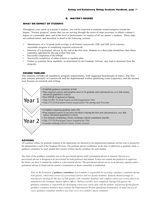## **B. MASTER'S DEGREE**

# <span id="page-18-0"></span>**WHAT WE EXPECT OF STUDENTS**

Throughout your career as a master's student, you will be expected to maintain normal progress toward the degree. "Normal progress" means that you are moving through the series of steps necessary to obtain a master's degree at a reasonable pace, and at the level of performance we require of all our master's students. These steps are outlined below, and described in detail in the following sections.

- Maintenance of a 3.0 grade point average in all formal coursework (100- and 200- level courses); reasonable progress in completing required coursework.
- Selection of a permanent advisor by the end of the first term. Students on a thesis plan should have their thesis committee appointed by the end of their first year.
- Successful completion of the DWQE
- Successful completion of either a thesis or capstone plan.
- Failure to maintain these standards, as determined by the Graduate Adviser, may lead to dismissal from the program.

### **DEGREE TIMELINE**

This timeline includes all mandatory program requirements, with suggested benchmarks in italics. The first year consists primarily of coursework and the departmental written qualifying exam (capstone), and the second year focuses on research and writing.



## **ADVISING**

All academic affairs for graduate students in the department are directed by the departmental graduate adviser who is assisted by the administrative staff of the Graduate Division. The graduate adviser establishes, at the time of admission to graduate study, a guidance committee for each student that consists of three faculty members for each student.

The chair of the guidance committee acts as the provisional adviser until a permanent adviser is selected. Service as a provisional adviser is designed to be provisional for both professor and student. It does not commit the professor to supervise the thesis, nor does it commit the student to a provisional adviser. The provisional adviser serves in an advisory capacity until a permanent adviser is found and the master's examination or thesis committee is established.

*Note on the formation of guidance committees: Each student is responsible for securing a guidance committee during Fall quarter, which must consist of a provisional advisor and two faculty members. Students should arrange an introductory meeting for the start of Fall quarter with committee members and complete a first-year course plan to be submitted to the Graduate Student Affairs Officer, Melissa Carrillo, once completed. During Fall quarter the guidance committee is responsible for developing a first-year course plan with the student, and during Spring quarter guidance committee members must evaluate the Departmental Written Qualifying Examination. In many but not all cases, guidance committee members may later serve on a student's thesis committee.*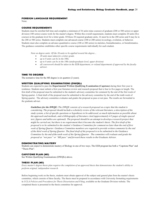### **FOREIGN LANGUAGE REQUIREMENT**

None.

### **COURSE REQUIREMENTS**

Students must be enrolled full time and complete a minimum of 36 units (nine courses) of graduate (200 or 500 series) or upper division (100 series) course work for the master's degree. Within this overall requirement, students must complete 20 units (five courses) at the graduate level for a letter grade. Of these 20 required graduate units, 16 must be in the 200 series and 8 may be in the 200 or 500 series. Students must complete one advanced course (100 or 200 series) in ecology, evolution, or behavior. Students must also complete an advance quantitative course (100 or 200 series) in statistics, biomathematics, or bioinformatics. The guidance committee establishes other specific course requirements individually for each student.

*Note on degree units: Of the 36 units to be applied toward the degree…* 

- *20 units must taken for a letter grade.*
- *up to 8 units can be in the 500s.*
- *up to 8 units can be in the 100s (undergraduate level, upper division)*
- *all coursework should be taken in the EEB department, or related departments if approved by the faculty advisor.*

### **TIME TO DEGREE**

The normative time for the MS degree is six quarters (2 years).

### **WRITTEN QUALIFYING EXAMINATIONS (DWQEs)**

Students are expected to pass the **Departmental Written Qualifying Examination (Capstone)** during their first year in residence. Students must submit a first-year literature review and research proposal that is four to five pages in length. The first draft of the proposal must be submitted to the student's advisory committee for comment by the end of the first week of Spring quarter. A final draft of the proposal must be submitted to the advisory committee by the end of the tenth week of Spring quarter. The advisory committee evaluates and grades the proposal as pass or not pass. The results are forwarded to the graduate adviser.

*Guidelines for the DWQE: The DWQE consists of a research proposal on a topic that the student is considering. The proposal should include a scholarly review of the relevant literature, a description of the* study system, a list of specific questions or hypotheses to be addressed, as much information as possible about *the approach and methods, and a bibliography of literature cited (approximately 4-5 pages of single-spaced* text; figures and tables are optional). The proposal should be an attempt to develop a research project that might be carried out, but there is no requirement that it become the student's thesis. The first draft of the proposal is to be submitted to the student's Guidance Committee for comment no later than the end of first *week of Spring Quarter. Guidance Committee members are required to provide written comments by the end* of the third week of Spring Quarter. The final draft of the proposal is to be submitted to the Guidance *Committee by the end of the tenth week of the Spring Quarter. The committee will evaluate and grade the proposal as "not pass" or "MS pass" and forward these results to the Graduate Adviser.*

#### **DEMONSTRATING MASTERY**

Students can expect to demonstrate mastery of Biology in one of two ways. The EEB program has both a "Capstone Plan" and "Thesis Plan".

### **CAPSTONE PLAN (MS)**

See Written Qualifying Examinations (DWQEs) above.

### **THESIS PLAN (MS)**

*Every master's degree thesis plan requires the completion of an approved thesis that demonstrates the student's ability to perform original, independent research.*

Before beginning work on the thesis, students must obtain approval of the subject and general plan from the master's thesis committee, which consists of three faculty. The thesis must be prepared in accordance with University formatting requirements in *UCLA Policies and Procedures for Thesis Dissertation and Filing*, available on the Graduate Division website. The completed thesis is presented to the thesis committee for approval.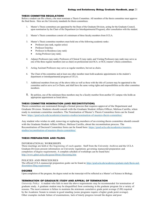### **THESIS COMMITTEE REGULATIONS**

Before a student can file a thesis, s/he must nominate a Thesis Committee. All members of the thesis committee must approve the final thesis. Here are the University standards for thesis committees:

- 1. Master's Thesis committees are appointed by the Dean of the Graduate Division, acting for the Graduate Council, upon nomination by the Chair of the Department (or Interdepartmental Program), after consultation with the student.
- 2. Master's Thesis committees consist of a minimum of three faculty members from UCLA.
- 3. Master's Thesis committee members must hold one of the following academic ranks:
	- Professor (any rank, regular series)
	- Professor Emeritus
	- Professor-in-Residence (any rank)
	- Acting Professor (any rank).
- 4. Adjunct Professors (any rank), Professors of Clinical X (any rank), and Visiting Professors (any rank) may serve as one of the three regular members (not as chair) on professional (not M.A. or M.S.) master's thesis committees.
- 5. Acting Assistant Professors may serve as regular members, but not as chairs.
- 6. The Chair of the committee and at least one other member must hold academic appointments in the student's department or interdepartmental program at UCLA.
- 7. Additional members from any of the above titles as well as those with the title of Lecturer may be appointed to the committee and/or serve as Co-Chairs, and shall have the same voting rights and responsibilities as the other committee members.
- 8. By petition, one of the minimum three members may be a faculty member from another UC campus who holds an appropriate appointment as listed above.

# **THESIS COMMITTEE NOMINATION (AND RECONSTITUTION)**

Thesis committees are nominated through a formal process that requires approval of the Department and Graduate Division. Students should consult with the Graduate Student Affairs Officer, Melissa Carrillo, when ready to nominate committee members. The Nomination of Master's Thesis Committee form can be found here:<https://grad.ucla.edu/academics/masters-studies/nomination-of-masters-thesis-committee/>

Any student who wishes to add, removing or replacing members of an existing thesis committee should consult with the Graduate Student Affairs Officer, Melissa Carrillo, about the reconstitution process. The Reconstitution of Doctoral Committee form can be found here: [https://grad.ucla.edu/academics/masters](https://grad.ucla.edu/academics/masters-studies/reconstitution-of-masters-thesis-committee/)[studies/reconstitution-of-masters-thesis-committee/](https://grad.ucla.edu/academics/masters-studies/reconstitution-of-masters-thesis-committee/)

### **THESIS PREPARATION AND FILING**

#### INFORMATIONAL WORKSHOPS

These meetings are held at the beginning of each quarter. Staff from the University Archives and the UCLA Graduate Division present information on University regulations governing manuscript preparation and completion of degree requirements. A complete schedule of workshops can be found here: <http://www.gdnet.ucla.edu/gasaa/library/thesismtg.htm>

### POLICIES AND PROCEDURES

The official UCLA manuscript preparation guide can be found at[, https://grad.ucla.edu/academics/graduate-study/thesis-and](https://grad.ucla.edu/academics/graduate-study/thesis-and-dissertation-filing-requirements/)[dissertation-filing-requirements/](https://grad.ucla.edu/academics/graduate-study/thesis-and-dissertation-filing-requirements/)

#### **DEGREE**

Upon completion of the program, the degree noted on the transcript will be reflected as a Master's of Science in Biology.

### **TERMINATION OF GRADUATE STUDY AND APPEAL OF TERMINATION**

*University Policy*: A student who fails to meet the above requirements may be recommended for termination of graduate study. A graduate student may be disqualified from continuing in the graduate program for a variety of reasons. The most common is failure to maintain the minimum cumulative grade point average (3.00) required by the Academic Senate to remain in good standing (some programs require a higher grade point average). Other examples include failure of examinations, lack of timely progress toward the degree and poor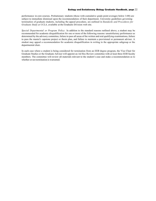performance in core courses. Probationary students (those with cumulative grade point averages below 3.00) are subject to immediate dismissal upon the recommendation of their department. University guidelines governing termination of graduate students, including the appeal procedure, are outlined in *Standards and Procedures for Graduate Study at UCLA*, available at the Graduate Division web site.

*Special Departmental or Program Policy*: In addition to the standard reasons outlined above, a student may be recommended for academic disqualification for one or more of the following reasons: unsatisfactory performance as determined by the advisory committee, failure to pass all areas of the written and oral qualifying examinations, failure to pass the master's capstone project or thesis plan, and failure to maintain a provisional or permanent adviser. A student may appeal a recommendation for academic disqualification in writing to the appropriate subgroup or the departmental chair.

In each case where a student is being considered for termination from an EEB degree program, the Vice Chair for Graduate Studies or the Graduate Advisor will appoint an Ad Hoc Review committee with at least three EEB faculty members. The committee will review all materials relevant to the student's case and make a recommendation as to whether or not termination is warranted.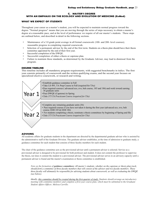# <span id="page-22-0"></span>**C. MASTER'S DEGREE WITH AN EMPHASIS ON THE ECOLOGY AND EVOLUTION OF MEDICINE (EvMed)**

### **WHAT WE EXPECT OF STUDENTS**

Throughout your career as a master's student, you will be expected to maintain normal progress toward the degree. "Normal progress" means that you are moving through the series of steps necessary to obtain a master's degree at a reasonable pace, and at the level of performance we require of all our master's students. These steps are outlined below, and described in detail in the following sections.

- Maintenance of a 3.0 grade point average in all formal coursework (100- and 200- level courses); reasonable progress in completing required coursework.
- Selection of a permanent advisor by the end of the first term. Students on a thesis plan should have their thesis committee appointed by the end of their first year.
- Successful completion of the DWQE.
- Successful completion of either a thesis or capstone plan.
- Failure to maintain these standards, as determined by the Graduate Adviser, may lead to dismissal from the program.

### **DEGREE TIMELINE**

This timeline includes all mandatory program requirements, with suggested benchmarks in italics. The first year consists primarily of coursework and the written qualifying exams, and the second year focuses on specialized elective coursework, or research and writing.



## **ADVISING**

All academic affairs for graduate students in the department are directed by the departmental graduate adviser who is assisted by the administrative staff of the Graduate Division. The graduate adviser establishes, at the time of admission to graduate study, a guidance committee for each student that consists of three faculty members for each student.

The chair of the guidance committee acts as the provisional adviser until a permanent adviser is selected. Service as a provisional adviser is designed to be provisional for both professor and student. It does not commit the professor to supervise the thesis, nor does it commit the student to a provisional adviser. The provisional adviser serves in an advisory capacity until a permanent adviser is found and the master's examination or thesis committee is established.

*Note on the formation of guidance committees: All master's students, whether on the capstone or thesis plan track, should form a committee of three faculty members that will consist of the advisor and two faculty members. These three faculty will ultimately be responsible for advising students about coursework, as well as evaluating the DWQE (see below).* 

*Ideally, this committee should be created during the first quarter of study. Students should arrange an introductory meeting with committee members and complete a first-year course plan, which must be submitted to the Graduate Student Affairs Officer, Melissa Carrillo.*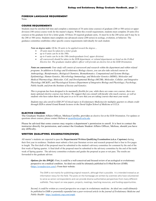### **FOREIGN LANGUAGE REQUIREMENT**

None.

### **COURSE REQUIREMENTS**

Students must be enrolled full time and complete a minimum of 36 units (nine courses) of graduate (200 or 500 series) or upper division (100 series) course work for the master's degree. Within this overall requirement, students must complete 20 units (five courses) at the graduate level for a letter grade. Of these 20 required graduate units, 16 must be in the 200 series and 8 may be in the 200 or 500 series. Students must complete one advanced course (200 series) in ecology, evolution, or behavior. The guidance committee establishes other specific course requirements individually for each student.

*Note on degree units: Of the 36 units to be applied toward the degree…* 

- *20 units must be taken for a letter grade.*
- *up to 8 units can be in the 500s.*
- *up to 8 units can be in the 100s (undergraduate level, upper division)*
- *all coursework should be taken in the EEB department, or related departments as listed on the EvMed Elective list. The graduate student affairs officer will provide an elective list at the EEB Orientation.*

*Notes on coursework: Your study will consist of coursework and research within the department and within related programs. In addition to Ecology and Evolutionary Biology classes, you can also take selected courses in Anthropology, Bioinformatics, Biological Chemistry, Biomathematics, Computational and Systems Biology, Epidemiology, Human Genetics, Microbiology Immunology, and Molecular Genetics (MIMG), Molecular and Medical Pharmacology, Molecular, Cell, and Developmental Biology (MCDB), Molecular, Cellular, and Integrative Physiology (MC&IP), and Physiological Science (Department of Integrative Biology and Physiology), Psychology, Public health, and from the Institute of Society and Genetics.* 

*This is program has been designed to be maximally flexible for you; while there are some core courses, there are many optional elective courses (see below). We suggest that you consult with faculty who teach courses, as well as students who have taken them in the past so as to be sure that you are taking courses that meet your needs.*

*Students may also enroll in EEB 297 (Critical topics in Evolutionary Medicine) for multiples quarters to obtain credit through EEB to attend Grand Rounds lectures in the David Geffen School of Medicine at UCLA.*

### **ELECTIVE COURSES**

The Graduate Student Affairs Officer, Melissa Carrillo, provides an elective list at the EEB Orientation. For updates or questions about courses, please contact Melissa at [mcarrillo@eeb.ucla.edu.](mailto:mcarrillo@eeb.ucla.edu)

Please be advised that some courses may require a department's permission to enroll. It is best to contact the instructor directly for permission, and contact the Graduate Student Affairs Officer, Melissa, should you have any difficulty.

# **WRITTEN QUALIFYING EXAMINATION(DWQE)**

All master's students are expected to pass the **Departmental Written Qualifying Examination (a.k.a. Capstone)** during their first year in residence. Students must submit a first-year literature review and research proposal that is four to five pages in length. The first draft of the proposal must be submitted to the student's advisory committee for comment by the end of the first week of Spring quarter. A final draft of the proposal must be submitted to the advisory committee by the end of the tenth week of Spring quarter. The advisory committee evaluates and grades the proposal as pass or not pass. The results are forwarded to the graduate adviser.

*Options for the DWQE:* First, it could be a well-conceived and focused review of an ecological or evolutionary perspective on a medical condition. An ideal one could be ultimately published in EvMed Review (EMR) [\(https://evmedreview.com/\)](https://evmedreview.com/). From their website:

The *EMR* is not mainly for publishing original research, although that is possible. It is intended instead as an information nexus for the field. The posts on the homepage are written by scientists who have volunteered to serve as senior correspondents and can provide diverse authoritative perspectives from many different subfields. They report on new papers, projects, meetings, teaching resources, and funding opportunities.

*Second, it could be written as a novel perspective on a topic in evolutionary medicine. An ideal one could ultimately be published in EMR or potentially expanded into a peer-reviewed article in the journal of Evolutionary Medicine and Public Health--* <https://academic.oup.com/emph>*.*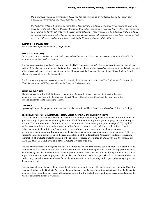*Third, and particularly for those that are based in a lab and going to develop a thesis, it could be written as a proposal for research that will be conducted in the future.*

The first draft of the DWQE is to be submitted to the student's Guidance Committee for comment no later than the end of first week of Spring Quarter. Guidance Committee members are required to provide written comments by the end of the third week of Spring Quarter. The final draft of the proposal is to be submitted to the Guidance Committee in the tenth week of the Spring Quarter. The committee will evaluate and grade the proposal as "not *pass" or "MS pass" and forward these results to the Graduate Student Affairs Officer.*

# **CAPSTONE PLAN (MS)**

See Written Qualifying Examination (DWQE) above.

#### **THESIS PLAN (MS)**

*Every master's degree thesis plan requires the completion of an approved thesis that demonstrates the student's ability to perform original, independent research.*

The first year consists primarily of coursework, and the DWQE (described above). The second year focuses on research and writing. Before beginning work on the thesis, students must form a three-member master's thesis committee and obtain approval of the subject and general plan from their committee. Please contact the Graduate Student Affairs Officer, Melissa Carrillo, when ready to nominate the thesis committee.

The thesis must be prepared in accordance with University formatting requirements in *UCLA Policies and Procedures for Thesis Dissertation and Filing*, available on the Graduate Division website.

### **TIME TO DEGREE**

The normative time for the MS degree is six quarters (2 years). Students planning to finish the degree is under two years must meet with the Graduate Student Affairs Officer, Melissa Carrillo, at the beginning of the first Fall quarter to create an accelerated plan.

# **DEGREE**

Upon completion of the program, the degree noted on the transcript will be reflected as a Master's of Science in Biology.

### **TERMINATION OF GRADUATE STUDY AND APPEAL OF TERMINATION**

*University Policy*: A student who fails to meet the above requirements may be recommended for termination of graduate study. A graduate student may be disqualified from continuing in the graduate program for a variety of reasons. The most common is failure to maintain the minimum cumulative grade point average (3.00) required by the Academic Senate to remain in good standing (some programs require a higher grade point average). Other examples include failure of examinations, lack of timely progress toward the degree and poor performance in core courses. Probationary students (those with cumulative grade point averages below 3.00) are subject to immediate dismissal upon the recommendation of their department. University guidelines governing termination of graduate students, including the appeal procedure, are outlined in *Standards and Procedures for Graduate Study at UCLA*, available at the Graduate Division web site.

*Special Departmental or Program Policy*: In addition to the standard reasons outlined above, a student may be recommended for academic disqualification for one or more of the following reasons: unsatisfactory performance as determined by the advisory committee, failure to pass all areas of the written and oral qualifying examinations, failure to pass the master's capstone project or thesis plan, and failure to maintain a provisional or permanent adviser. A student may appeal a recommendation for academic disqualification in writing to the appropriate subgroup or the departmental chair.

In each case where a student is being considered for termination from an EEB degree program, the Vice Chair for Graduate Studies or the Graduate Advisor will appoint an Ad Hoc Review committee with at least three EEB faculty members. The committee will review all materials relevant to the student's case and make a recommendation as to whether or not termination is warranted.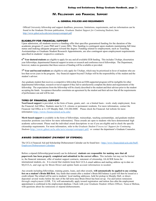# **IV. FELLOWSHIPS AND FINANCIAL SUPPORT**

# **A. GENERAL POLICIES AND REQUIRMENTS**

Official University fellowship and support deadlines, processes, limitations, requirements, and tax information can be found in the Graduate Division publication, *Graduate Student Support for Continuing Students*, here <http://www.gdnet.ucla.edu/asis/stusup/contspprt.pdf>

#### <span id="page-25-0"></span>**ELIGIBILITY FOR FINANCIAL SUPPORT**

Upon admission, all students receive a funding offer that specifies guaranteed funding for the duration of the academic program (5 years PhD and 2 years MS). This funding is contingent upon students maintaining full time status and making adequate progress toward the degree. Funding related to employment, such as Teaching Assistantships or Graduate Student Research Appointments, are also contingent upon employment requirements specified in students' respective contracts.

**6 th Year doctoral students** are eligible to apply for any and all available EEB funding. This includes TAships, dissertation year fellowships, departmental financial support in terms or research and conference travel fellowships. The Department, however, makes no guarantee that these sources of funding will be available or provided.

**7th Year and beyond students** are eligible to only apply for TAships, which may be prioritized in favor of students who are less than seven years in the program. Any financial support beyond TAships will be the responsibility of the student and the student's advisor.

Any graduate student that receives a competitive fellowship from an EEB-supported program will be ineligible for other departmental fellowships, research or travel support if they fail to satisfactorily complete the duties and requirements of the fellowship. The expectations from the fellowship will be clearly described to the student and their advisor prior to the student accepting the funds. Acceptance thereafter constitutes an agreement by the student and their advisor that all the requirements of performance can and will be met.

# **TYPES OF FINANCIAL SUPPORT**

**Need based support** is provided, in the form of loans, grants, and—on a limited basis—work- study employment, from the Financial Aid Office. Students must be U.S. citizens or permanent residents. For more information, contact the Financial Aid Office at A-129 Murphy Hall, 310-206-0400. Please check the Financial Aid website for more information <http://www.financialaid.ucla.edu/>

**Merit based support** is available in the form of fellowships, traineeships, teaching assistantships, and graduate student researcher positions (see below for more information). These awards are open to students who have demonstrated high academic achievement. Please read the individual award descriptions to see if you are eligible and to check the specific citizenship requirements. For more information, refer to the *Graduate Student Financial Support for Continuing Students* <http://www.gdnet.ucla.edu/asis/stusup/contspprt.pdf>*,* or contact the department's Graduate Counselor.

# **AWARD DISBURSEMENT (PAYMENT OF STIPENDS)**

The UCLA Financial Aid and Scholarship Disbursement Calendar can be found here - [https://www.financialaid.ucla.edu/Staff-](https://www.financialaid.ucla.edu/Staff-Employers/Disbursement-Calendars)[Employers/Disbursement-Calendars](https://www.financialaid.ucla.edu/Staff-Employers/Disbursement-Calendars)

Before a stipend (fellowship/grant/award) can be disbursed, **students are responsible for making sure that all paperwork has been properly completed and submitted to the correct office**s. This includes but may not be limited to, the financial statement, offer of student support contracts, statement of citizenship, GLACIER forms for international students, etc. It is crucial that students keep their UCLA email address and mailing address up to date on MyUCLA, and sign up for Bruin Direct and update bank account information in needed.

Any awards including fellowships, training grants, loans, and other awards, **will automatically be applied to any existing fees on a student's Bruin Bill first.** Any funds that remain after a student's Bruin Bill balance is paid will then be issued as a credit refund**.** The refund will be sent to students' local mailing addresses, held for pickup in Murphy Hall, or directdeposited several weeks before the start of the fall term once Bruin Direct has been set up. Fee and tuition remissions through employment (GSR, TA) will automatically apply toward registration and tuition fees after the employment appointment is confirmed in the employment database. Check with your Graduate Student Affairs Officer, Tessa or Melissa, with questions about fee remissions or stipend disbursements.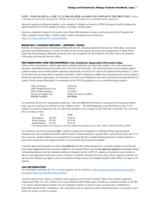*NOTE – PAID SALARY (ie, a GSR, TA, TUTOR, READER, etc) DOES NOT APPEAR ON THE BRUIN BILL. Salary is documented and issued through the UCPath system for all employees, including student employees.*

Quarterly stipends are disbursed monthly, so for example if a student was issued a \$7,000 Fall stipend would be disbursed as approximately \$2,333 for the months of October, November, and December.

Questions regarding Financial Aid awards, loans, Bruin Bill statements or issues, can be answered by the Financial Aid Office, Student Account Office, or Main Cashier. Contact information can be found here, [http://www.loans.ucla.edu/UCLA-Financial-Sites.](http://www.loans.ucla.edu/UCLA-Financial-Sites)

# **BRUIN BILL CHARGES/REFUNDS - KEEPING TRACK**

Students are responsible for monitoring all Bruin Bill activity, including scheduled financial aid, fellowships, remissions, and other award disbursements, as well as all holds on the account that are preventing the disbursement of funds. Please ensure that that all required financial documents have been completed for the Financial Aid Office and/or the Graduate Fellowship and Financial Services office.

# **FEE REMISSIONS AND FEE DEFERRALS (for Academic Apprentice Personnel only)**

Under certain circumstances, students appointed to academic apprentice personnel titles qualify to have their registration, education, and health insurance fees paid by the University (fee remissions). The following policies and procedures apply to graduate students who (a) hold academic apprentice payroll titles of at least 25% and (b) are registered and enrolled in 12 units by the third week of classes and (c) maintain a minimum 3.0 GPA. Students are eligible for fee payments only for the term(s) in which they meet these requirements. Fee remissions cover the cost of standard in-state tuition and fees and are paid directly to a student's BAR account (Bruin Bill). Fee remissions for the 2019-20 academic year cover the following per quarter:

| Portion of Campus Fees<br><b>TOTAL VALUE</b> | \$100 (TAs only not GSRs)<br>\$5,729.66 |
|----------------------------------------------|-----------------------------------------|
| 100% Health Insurance                        | \$1,439.66                              |
| 100% Student Service Fees                    | \$376.00                                |
| 100% of Tuition                              | \$3,814.00                              |

Fee remissions do not cover all graduate student fees. There are additional fees that are voted upon by the associated student body each year, and these are referred to as the "balance of fees." The EEB department covers the balance of fees for all students receiving fee remissions who are within their normative time to degree (6 years PhD and 2 years MS). The cost of the 2021-22 balance of fees:

| TAs                    |           | GSRs     |                                                                                                          |
|------------------------|-----------|----------|----------------------------------------------------------------------------------------------------------|
| Fall Quarter           | $$56.40*$ | \$156.40 |                                                                                                          |
| Winter Quarter         | \$55.40   | \$155.40 |                                                                                                          |
| Spring Quarter \$54.39 |           | \$154.39 |                                                                                                          |
|                        |           |          | incoming students are charged a one-time additional document fee in Fall (\$80 for MS and \$100 for PhD) |

*\* incoming students are charged a one-time additional document fee in Fall (\$80 for MS and \$100 for PhD)*

Fee remissions can only be processed **after** a student's employment assignment is confirmed and the required payroll documents have been completed and filed with the student's hiring department's payroll office, and remissions may take 10-15 days to process. Student employees are responsible for ensuring that they complete hiring paperwork in a timely manner to ensure fees remissions can be triggered at least 3-4 weeks before the fee payment deadline.

Academic apprentice personnel can obtain a **fee deferral** from their hiring department to extend the student services fee and nonresident supplemental tuition payment deadline by two months. Please note that **fee deferrals cannot be reversed.** Students with pending balances after the extended deadline are charged a late fee of \$50. If a student on fee deferral status decides to takes to end employment and/or take a leave of absence or withdraw from the University, they will be required to paid the cost the term fees. Refunds may apply in some circumstances. Please contact your Graduate Student Affairs Officer to request a fee deferral.

#### **TAX INFORMATION**

Tax information and forms for UCLA award recipients can be found here: [https://grad.ucla.edu/funding/financial-aid/tax](https://grad.ucla.edu/funding/financial-aid/tax-information-forms-for-ucla-fellowship-recipients/)[information-forms-for-ucla-fellowship-recipients/](https://grad.ucla.edu/funding/financial-aid/tax-information-forms-for-ucla-fellowship-recipients/)

Amounts spent on fees, tuition, or required course expenses are not taxed or taxable. Salary from academic apprentice employment (GSR, TA, Tutor, Reader, etc) is taxed. Stipends (fellowships, grants, awards) are considered taxable by the IRS. U.S. citizens and permanent residents who are California residents do not have taxes automatically withheld from fellowship stipend checks. Nonetheless, these individuals may be required to make estimated quarterly tax payments and to report the income on their tax returns.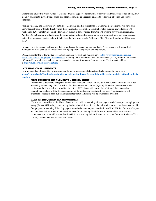Students are advised to retain "Offer of Graduate Student Support" agreements, fellowship and traineeship offer letters, BAR monthly statements, payroll wage stubs, and other documents and receipts related to fellowship stipends and course expenses.

Foreign students, and those who live outside of California and file tax returns as California nonresidents, will have state and/or federal taxes withheld directly from their paychecks. Information about fellowship taxation is available in IRS Publication 520, "Scholarships and Fellowships," available for download from the IRS website at [www.irs.ustreas.gov.](http://www.irs.ustreas.gov/) Another IRS publication available from the same website offers information on paying estimated tax when your residency status does not permit the tax to be withheld directly from your check: Publication 505, "Tax Withholding and Estimated Tax."

University and department staff are unable to provide specific tax advice to individuals. Please consult with a qualified individual for more detailed information concerning applicable tax policies and regulations.

UCLA does offer the following tax preparation resources for staff and students here - [https://www.finance.ucla.edu/tax](https://www.finance.ucla.edu/tax-records/tax-services/tax-preparation-assistance)[records/tax-services/tax-preparation-assistance,](https://www.finance.ucla.edu/tax-records/tax-services/tax-preparation-assistance) including the Volunteer Income Tax Assistance (VITA) program that assists UCLA staff and students as well as anyone in nearby communities prepare their tax returns. Their website address is [http://vitaucla.wixsite.com/vitaatucla.](http://vitaucla.wixsite.com/vitaatucla)

### **INTERNATIONAL STUDENTS**

Fellowship and employment tax information and forms for international students and scholars can be found here: **[https://grad.ucla.edu/funding/financial-aid/tax-information-forms-for-ucla-fellowship-recipients/international-students](https://grad.ucla.edu/funding/financial-aid/tax-information-forms-for-ucla-fellowship-recipients/international-students-scholars/)[scholars/](https://grad.ucla.edu/funding/financial-aid/tax-information-forms-for-ucla-fellowship-recipients/international-students-scholars/)**

# **NON-RESIDENT SUPPLEMENTAL TUTION (NRST)**

International students are charged additional Non-Resident Tuition (NRST) until they advance to candidacy. After advancing to candidacy NRST is waived for nine consecutive quarters (3 years). Should an international student continue at the Universality beyond this time, the NRST charge will return. Any additional fees imposed on international students will be the responsibility of the student and the student's advisor. The Department will attempt to offset such fees, but cannot guarantee that such funding will be available or provided.

## **GLACIER (REQUIRED TAX REPORTING)**

If you are a nonresident of the United States and you will be receiving stipend payments (fellowships) or employment salary (TA and GSR salary), you are required to submit information on the online Glacier tax compliance system. All foreign persons receiving fellowship payments and salary are required to submit the GLACIER Tax Summary Report and supplemental information to Payroll Services for processing. The information provided is used to ensure compliance with Internal Revenue Service (IRS) rules and regulations. Please contact your Graduate Student Affairs Officer, Tessa or Melissa, to assist with access.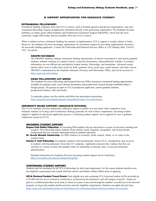### **B. SUPPORT OPPORTUNITIES FOR GRADUATE STUDENTS**

### **EXTRAMURAL FELLOWSHIPS**

Extramural funding originates from non-UCLA sources, such as Federal agencies and private organizations, and most extramural fellowships require an application submitted directly to the sponsoring organization. The Graduate Division publishes an online guide called Graduate and Postdoctoral Extramural Support (GRAPES), which lists the more commonly sought fellowships that are available from non-UCLA sources.

When a student receives extramural funding, the amount of supplementary UCLA support is usually subject to limits. However, the Graduate Division encourages applications for extramural support by providing supplemental incentives for successful funding applicants. Contact the Fellowship and Financial Services Office at 1252 Murphy Hall, 310-825- 3521, for details.

# **GRAPES DATABASE**

The GRAPES database catalogs extramural funding opportunities of interest to prospective and current graduate students, students working on a master's thesis or doctoral dissertation, and postdoctoral scholars. It contains information on over 600 private and publicly funded awards, fellowships, and internships. Advanced search options allow users to refine their search by field, academic level, award type, award amount, and other criteria. GRAPES is maintained by the Graduate Outreach, Diversity and Fellowships Office, and can be accessed at [https://grad.ucla.edu/funding/.](https://grad.ucla.edu/funding/) 

### **GRAD FELLOWSHIPS LIST SERVES**

The Graduate Division Fellowships and Financial Services Office announces extramural funding opportunities available for graduate study, travel abroad, dissertation and postdoctoral research through Gradfellowships-L Google groups. The groups are open to UCLA prospective applicants, current graduate students, postdoctoral scholars, staff, and faculty.

To subscribe, please visit the website and follow the subscription instructions: [https://grad.ucla.edu/funding/financial-aid/gradfellowships-l-list-subscription/.](https://grad.ucla.edu/funding/financial-aid/gradfellowships-l-list-subscription/)

### **UNIVERSITY-BASED SUPPORT (GRADUATE DIVISION)**

The UCLA Graduate Division administers additional support available on a university-wide competitive basis. Graduate students in Ecology and Evolutionary Biology generally do well in these competitions. Incoming student support is applied for during the application process. Continuing student support can be applied for once a graduate student has started at UCLA.

#### **INCOMING STUDENT SUPPORT**

- **Eugene Cota Robles Fellowship:** for incoming PhD students who are interested in a career in university teaching and research. This fellowship targets students from cultural, racial, linguistic, geographic, and socioeconomic backgrounds that are currently underrepresented in graduate education.
- **Dr. Ursula Mandel Scholarship:** for PhD students in scientific fields related, allied, or of value to the medical field.
- **Charles F. Scott Fellowship:** for graduate students with baccalaureates from UCLA; consideration may be given to students with baccalaureates from other UC campuses. Applicants must provide evidence that they are enrolled in a course of study that prepares them for leadership in national, state, or local governmental administration.

Detailed information for Graduate Division incoming student support can be found here: <http://www.gdnet.ucla.edu/asis/entsup/finsup.htm>

# **CONTINUING STUDENT SUPPORT**

Students must be nominated for all UCLA fellowships by their home department. For this reason students should review the eligibility requirements and consult with their advisor and Student Affairs Officer prior to applying.

**UCLA Doctoral Student Travel Grant:** Each eligible new and continuing UCLA doctoral student will be provided up to \$1,000 total for travel related to conferences, professional development, and off-campus research. Funds are paid as a reimbursement that can be used, in whole or in part, at any time through the student's seventh year in the doctoral program, as long as the student and the activities meet the eligibility requirements. Students can apply directly here, <https://grad.ucla.edu/funding/financial-aid/funding-for-continuing-students/doctoral-student-travel-grants/>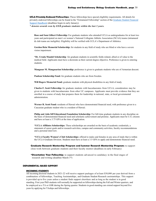**UCLA Privately Endowed Fellowships:** These fellowships have special eligibility requirements. All details for privately endowed fellowships can be found in the "Extramural Fellowship" section of the [Graduate Student Financial](https://grad.ucla.edu/asis/stusup/gradsupport.pdf)  [Support Handbook](https://grad.ucla.edu/asis/stusup/gradsupport.pdf) (deadlines begin in early January).

*\* denotes awards won by EEB graduate students within the last 3 years.*

**Rose and Sam Gilbert Fellowship:** For graduate students who attended UCLA as undergraduates for at least two years and participated on men's or women's National Collegiate Athletic Association (NCAA) teams (intramural & club teams are ineligible). Eligibility will be verified with UCLA's Department of Athletics.

**Gordon Hein Memorial Scholarship:** for students in any field of study who are blind or who have a severe vision impairment.

**\*Dr. Ursula Mandel Scholarship***:* for graduate students in scientific fields related, allied or of value to the medical field. Applicants must have a doctorate as their current degree objective. Preference is given to entering students.

**Mangasar M. Mangasarian Scholarship:** preference is given to graduate students who are of Armenian descent.

**Paulson Scholarship Fund:** for graduate students who are from Sweden.

**Will Rogers Memorial Fund:** graduate students with physical disabilities in any field of study.

**Charles F. Scott Fellowship:** for graduate students with baccalaureates from UCLA; consideration may be given to students with baccalaureates from other UC campuses. Applicants must provide evidence that they are enrolled in a course of study that prepares them for leadership in national, state, or local governmental administration.

**Werner R. Scott Fund:** residents of Hawaii who have demonstrated financial need, with preference given to a Caucasian graduate student who is a resident of Hawaii.

**Philip and Aida Siff Educational Foundation Scholarship:** For full-time graduate students in any discipline on the basis of demonstrated financial need and scholastic achievement and promise. Applicants must be U.S. citizens and have at least a 3.75 GPA at the time of application.

**\*UCLA Affiliates Scholarships:** These scholarships are awarded on the basis of academic credentials, a statement of career goals and/or research activities, campus and community activities, faculty recommendations and a personal interview.

**\*UCLA Faculty Women's Club Scholarships:** offered to males and females in any area of study that is within the UCLA Graduate Division. Students must have at least a 3.5 GPA to apply and demonstrate financial need.

**Graduate Research Mentorship Program and Summer Research Mentorship Program:** to support close work between graduate students and their faculty mentor (deadlines in early February)

**\*Dissertation Year Fellowship:** to support students advanced to candidacy in the final stages of research and writing (deadline March 1st)

### **DEPARMENTAL-BASED SUPPORT**

#### **INCOMING STUDENTS**

All incoming doctoral students in 2021-22 will receive support packages of at least \$30,000 per year derived from a combination of fellowships, Teaching Assistantships, and Graduate Student Research assistantships. This support is provided up to five years unless a student finds support elsewhere and as long as the student is in good standing. First year PhD students will normally be supported on fellowships during the Fall and Winter quarters, and be employed as a TA or GSR during the Spring quarter. Students in good standing can extend support beyond five years by applying for TAships and fellowships.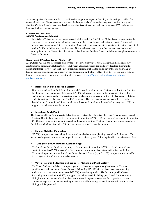All incoming Master's students in 2021-22 will receive support packages of Teaching Assistantships provided for two academic years (6 quarters) unless a student finds support elsewhere and as long as the student is in good standing. Continued employment as a Teaching Assistant is contingent on academic progress and TA performance. Summer funding is not guaranteed.

# **CONTINUING STUDENTS**

# **596/8/9 Funds (research funds)**

Students have \$70 per quarter to support research while enrolled in 596,598 or 599. Funds can be spent during the quarter, or carried forward to the following quarter with the academic year (ending Spring quarter.) Approved expenses have been approved for poster printing, Biology storeroom and non-storeroom items, technical shops, field travel in California (milage only), and software. Note that books, page charges, Society membership dues, and subscriptions are not allowed. To redeem funds either through a Purchase Order or reimbursement, please contact your Graduate Counselor.

### **Departmental Funding Awards (Spring call)**

All graduate students are encouraged to apply for competitive fellowships, research grants, and conference travel grants from the department. If students successfully earn additional awards, the funding will replace departmental commitments (see below for information about the April departmental call for funding awards). The following are funding sources are administered directly by our department, and also outlined in the Graduate Student Support section of the department website here - [https://www.eeb.ucla.edu/graduate](https://www.eeb.ucla.edu/graduate-student-support/) [student-support/](https://www.eeb.ucla.edu/graduate-student-support/)

#### • **Bartholomew Fund for Field Biology**

Generously endowed by Ruth Bartholomew and George Bartholomew, our distinguished Professor Emeritus, this fund provides one summer fellowship (\$7,500) and research support for the top applicant in ecology, evolutionary biology, and/or conservation biology whose research has a significant field component. Eligible students must already have advanced to PhD candidacy. Thus, one student per summer will receive the Bartholomew Fellowship. Additional students will receive Bartholomew Research Grants (up to \$1,200) to support research and/or travel expenses.

#### • **Josephine Reich Fund**

The Josephine Reich Fund was established to support outstanding students in the area of environmental research or education. This fund provides up to four summer fellowships (\$7000 each) and two academic quarter fellowships (\$7,500 stipend plus fees) to support research or dissertation writing. The fund also provides several Josephine Reich Research Grants (up to \$1,200) to support research and/or travel expenses.

### • **Holmes O. Miller Fellowship**

(\$7,500) to support an outstanding doctoral student who is doing or planning to conduct field research. The award may be granted in summer as a stipend, or as an academic quarter fellowship in which case also covers fees.

#### • **Lida Scott Brown Fund for Avian Biology**

The Lida Scott Brown Fund provides up to four summer fellowships (\$7000 each) and two academic quarter fellowships (\$7,500 stipend plus fees) to support research or dissertation writing in avian biology. The fund also provides several Lida Scott Brown Research Grants (up to \$1,200) to support research and/or travel expenses for pilot studies in avian biology.

### • **Vavra Research Fellowship and Grants for Organismal Plant Biology**

The Vavra fund was established to support graduate education in organismal plant biology. The fund provides one academic quarter Vavra Research Fellowship (\$7, 500 stipend plus fees) to an outstanding student, and one summer or quarter award (\$7,500) to another top student. The fund also provides Vavra Research grants (maximum \$7,500) to support research or travel, including special workshops, courses at biological stations that are related to dissertation research in plant biology, and full or partial travel and conference expenses for students wishing to attend scientific meetings where their research results on plant biology will be presented.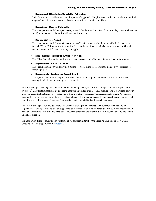### • **Department Dissertation Completion Fellowship**

This fellowship provides one academic quarter of support (\$7,500 plus fees) to a doctoral student in the final stages of their dissertation research. Students must be advanced to candidacy.

### • **Department Quarter Fellowship**

This is a departmental fellowship for one quarter (\$7,500 in stipend plus fees) for outstanding students who do not qualify for department fellowships with taxonomic restrictions.

#### • **Department Fee Award**

This is a departmental fellowship for one quarter of fees for students who do not qualify for fee remissions through TA or GSR support or fellowships that include fees. Students who have earned grants or fellowships that do not cover full fees are encouraged to apply.

### • **Non-Resident Tuition Fellowship (for NRST)**

This fellowship is for foreign students who have exceeded their allotment of non-resident tuition support.

#### • **Departmental Research Grant**

These grant amounts vary and provide a stipend for research expenses. This may include travel expenses for research purposes.

### • **Departmental Conference Travel Grant**

These grant amounts vary and provide a stipend to cover full or partial expenses for travel to a scientific meeting in which the applicant gives a presentation.

All students in good standing may apply for additional funding once a year in April through a competitive application process. **6th Year doctoral students** are eligible to apply for any and all available EEB funding. The Department, however, makes no guarantee that these sources of funding will be available or provided. The Departmental Funding Application covers all forms of support for continuing graduate students that are administered by the Department of Ecology and Evolutionary Biology, except Teaching Assistantships and Graduate Student Research positions.

The link to the application and details are sent via email each April by the Graduate Counselor. Applications for Departmental Funding Award s and all supporting documentation are **due by stated deadlines.** If you know you will be unable to meet the April deadline because of fieldwork, please contact your Graduate Counselors about how to submit an early application.

The application does not cover the various forms of support administered by the Graduate Division. To view UCLA Graduate Division support, visit thei[r website.](https://grad.ucla.edu/funding/financial-aid/funding-for-continuing-students/doctoral-student-travel-grants/)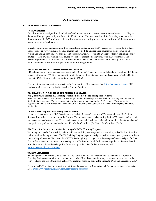# **V. TEACHING INFORMATION**

### <span id="page-32-0"></span>**A. TEACHING ASSISTANTSHIPS**

#### **TA PLACEMENTS**

TA allotments are assigned by the Chairs of each department to courses based on enrollment, according to the annual budget granted by the Dean of Life Sciences. The traditional load for Teaching Assistants is three sections of 20-25 students each, but this may vary according to meeting days/times and the format and responsibilities of each course.

In early summer, new and continuing EEB students are sent an online TA Preference Survey from the Graduate Counselors. The survey includes all EEB courses and some Life Science Core courses for the upcoming Fall, Winter and Spring quarters. TAs are placed in courses quarterly according to a variety of factors including but not limited to, their original funding plan, course preference, academic background, prior TA performance, and instructor preference. All TAships are confirmed no later than 30 days before the start of each quarter. Contact your Graduate Counselors with questions about TA assignments.

#### **TA PLACEMENTS DURING SUMMER SESSIONS**

UCLA holds two six-week summer sessions: A and C. Summer TA positions are limited and prioritized for EEB doctoral students with summer TAships guaranteed in original funding offers. Summer sessions TAships are scheduled by the Graduate SAOs, Tessa and Melissa, in Spring quarter (May).

Enrollment for summer sessions begins in early February for UCLA students. See [https://summer.ucla.edu/.](https://summer.ucla.edu/) EEB graduate students are not required to enroll in Summer Sessions.

# **TA TRAINING FOR NEW TEACHING ASSISTANTS**

**Pre-Quarter Life Science TA Training Workshop (required once during first TA term)** New TAs must attend a "Pre-Quarter TA Training Essentials Workshop" to cover basics of teaching and preparation for the first days of class. Topics covered in the training are not covered in the LS 495 course. The training is organized by the LS 495 instructional team and CEILS. Students may contact Katie Dixie, **[kdixie@ceils.ucla.edu](mailto:kdixie@ceils.ucla.edu)** , for details.

### **LS 495 course (required once during first TA term)**

Like many departments, the EEB Department and the Life Science Core requires TAs to complete an LS 495 2-unit Seminar designed to prepare them for the TA role. This seminar must be taken during the first TA quarter, and in certain circumstances may be taken prior. Those seminars are organized, developed, and taught jointly by a faculty member and an experienced graduate student holding the title of a TA Consultant (TAC) or a TA Consultant (TAC).

#### **The Center for the Advancement of Teaching (CAT) TA Training Program**

Becoming a successful TA is a skill, and not unlike other skills, requires practice, preparation, and collection of feedback and suggestions for improvement. The TA Training Program pages are designed to either answer your questions or direct you to a helpful resource. Each year, the CAT TA Training Program organizes a day-long conference designed for TAs. The conference consists of a series of workshops and a TA/Faculty Panel. Both new and experienced TAs can benefit from the enthusiastic and knowledgeable TA workshop leaders. For further information, visit <https://www.teaching.ucla.edu/tatp> .

### **TA EVALUATIONS**

All undergraduate courses must be evaluated. The students will be able to submit their evaluations electronically. Teaching Assistants can review their evaluations on MyUCLA. TA evaluations may be viewed by instructors of the course, Chairs, and Department staff tasked with academic reporting such as the Graduate SAOs and Department CAO.

To view CAT's Teaching Guide section about tips and procedures for Measuring and Evaluating teaching, please visit here,<https://www.teaching.ucla.edu/resources/teaching-resources>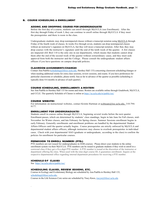### **B. COURSE SCHEUDLING & ENROLLMENT**

### **ADDING AND DROPPING COURSES FOR UNDERGRADUATES**

Before the first day of a course, students can enroll through MyUCLA (see Enrollment). After the first day through Friday of week 3, they can continue to enroll online through MyUCLA if they meet the prerequisites and there is room in the class.

Undergraduate students may drop nonimpacted classes without a transcript notation using [MyUCLA](http://my.ucla.edu/directLink.aspx?featureID=204) through Friday of the fourth week of classes. In weeks five through seven, students can drop nonimpacted classes without an instructor's signature on MyUCLA, but they will incur a transcript notation. After that, they may drop courses with the instructor's signature until the end of the tenth week of the quarter. A few classes are impacted (EE Biol 110 is the only one in our department), which means that students cannot drop them after the end of the second week of the quarter without extraordinary cause, and they must seek approval from both the instructor and the College. Please consult the undergraduate student affairs officers if you have questions on campus drop/add policies.

#### **CLASSROOM ASSIGNEMENTS/CHANGES**

Contact Ana Padilla [\(scheduling@lifesci.ucla.edu,](mailto:scheduling@lifesci.ucla.edu) Hershey Hall 133) concerning classroom scheduling/changes or when needing additional rooms for extra class sessions, review sessions, and exams. If you have preferences for particular classrooms or schedules, please notify Ana as far in advance of the quarter as possible (scheduling is typically done 4-6 months in advance of each quarter).

### **COURSE SCHEDULING, ENROLLMENTS & ROSTERS**

See Ana Padilla in Hershey Hall 133 for rooms and times. Rosters are available online through Gradebook, MyUCLA, and CCLE. The quarterly Schedule of Classes is online a[t https://sa.ucla.edu/ro/public/soc/](https://sa.ucla.edu/ro/public/soc/)

#### **COURSE WEBSITES**

For information on instructional websites, contact Kristin Hartman at [webteam@lsic.ucla.edu,](mailto:webteam@lsic.ucla.edu) 310-794- 9177.

### **ENROLLMENT FOR UNDERGRADUATES**

Students enroll in courses online through MyUCLA, beginning several weeks before the next quarter. Enrollment passes, which are determined by students' class standings, begin in late June for Fall classes, mid-November for Winter classes, and late February for Spring classes. Summer Sessions enrollment begins in early February. Generally enrollments and enrollment problems are handled by the departmental Student Affairs Officers until the quarter actually begins. Course prerequisites are strictly enforced by MyUCLA and departmental student affairs officers, although instructors may choose to overlook prerequisites in individual cases. Check with your departmental SAO (graduate or undergraduate, according to the class) to confirm the policies for enrollment for particular courses.

#### **PERMISSION TO ENROLL NUMBERS (PTEs)**

PTE numbers are not issued for undergraduates in EEB courses. Please direct your students to the online enrollment system via their MyUCLA. PTE numbers can be issued to graduate students if they wish to enroll in a restricted class if they get a five-digit PTE number. A PTE number is issued at the discretion of the instructor or department offering the class. When used with the nine-digit course ID, it guarantees enrollment. Inquire at the respective departmental office regarding internal department procedures for receiving a PTE number.

### **SCHEDULE O F CLASSES**

.

See<https://sa.ucla.edu/ro/public/soc/>

### **SCHEDULING CLASSES, REVIEW SESSIONS, ETC.**

Courses in Ecology and Evolutionary Biology are scheduled by Ana Padilla in Hershey Hall 133, [scheduling@lifesci.ucla.edu,](mailto:scheduling@lifesci.ucla.edu) 

Courses in the Life Sciences Core series are scheduled by Tracy Knox[, tracyn@lifesci.ucla.edu](mailto:tracyn@lifesci.ucla.edu)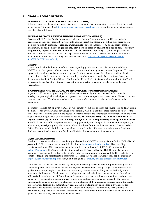### **C. GRADES / RECORD KEEPING**

### **ACADEMIC DISHONESTY (CHEATING/PLAGARISM)**

If there is strong evidence of academic dishonesty, Academic Senate regulations require that it be reported to the Dean of Students. See <http://www.deanofstudents.ucla.edu/Reporting> to view the policy about reporting a case of academic dishonesty.

### **FEDERAL PRIVACY LAW FOR STUDENT INFORMATION (FERPA)**

Because of FERPA, the Family Educational Rights and Privacy Act, information on UCLA students (regardless of their age) cannot be given out to anyone except that student, including their parents. This includes student ID numbers, schedules, grades, private contact information, or any other personal information. In addition**, lists of grades, etc., may not be posted by student number or name, nor may assignments, papers, exams, etc., be left in a box for students to pick up**. If you have questions on privacy restrictions, please consult your departmental Student Affairs Officers. For detailed FERPA information, visit the UCLA Registrar's Office website at: [https://www.registrar.ucla.edu/Faculty-](https://www.registrar.ucla.edu/Faculty-Staff/FERPA/FERPA-for-Faculty)[Staff/FERPA/FERPA-for-Faculty](https://www.registrar.ucla.edu/Faculty-Staff/FERPA/FERPA-for-Faculty)

#### **GRADES**

Please consult with the instructor of the course regarding grade submission. Students should check MyUCLA for their grades. Grades cannot be given out to students by e-mail or over the phone. To change a grade after grades have been submitted, go to Gradebook to make the change online. If the grade change is for a course older than 1 year obtain an Academic Revision form from your departmental Student Affairs Officer. The form should be filled out, signed and returned to that office for forwarding to the Registrar. Students may not pick up or return Change of Grade forms under any circumstances.

# **INCOMPLETES AND REMOVAL OF INCOMPLETES FOR UNDERGRADUATES**

A grade of "I" can be assigned only if a student has substantially finished the work of a course but is missing one part, typically a final paper or project, and cannot complete the course due to illness or another substantive reason. *The student must have been passing the course at the time of assignment of the incomplete*.

Incompletes should not be given to students who simply would like to finish the course later or delay taking the final. (This gives an unfair advantage to the student, who then has three more months to study for the final.) Students do not re-enroll in the course in order to remove the incomplete; they simply finish the work required under the guidance of the original instructor. **Incompletes MUST be finished within the next** regular quarter (by the end of the following Fall Quarter for Spring courses), or the grade will revert **to an F.** Extensions of incompletes are very rarely granted by the College. To remove an Incomplete (in other words, to assign a grade), obtain an Academic Revision form from the departmental Student Affairs Office. The form should be filled out, signed and returned to that office for forwarding to the Registrar. Students may not pick up or return Academic Revision forms under any circumstances.

#### **MyUCLA GRADEBOOK**

Teaching assistants are able to access their gradebooks from MyUCLA using a Bruin Online (BOL) ID and password. BOL accounts can be established online at [https://www.it.ucla.edu/bol.](https://www.it.ucla.edu/bol) Those needing assistance with their BOL accounts can contact the BOL help desk at 310-825-7452 or via email at [webmail@ucla.edu.](mailto:webmail@ucla.edu) The Undergraduate Student Affairs Officers in Hershey Hall 101 are also a good resource. Departments have designated CSC or network coordinators who can call the BOL help desk on behalf of faculty and reset forgotten passwords. For more information on Gradebook, see the manual at <http://cis.ucla.edu/pdf/print.pdf> or the Quick Start guide at <http://my.ucla.edu/gradebook/quickstart.pdf>

The Electronic Gradebook can be used by faculty and teaching assistants to record grades throughout the academic quarter, inform students of test scores, distribute comments, assign projects and transmit final grades to the campus registrar -- all from a secure, easy- to-use website. Fully customizable by each instructor, the Electronic Gradebook can be adapted to suit individual class management needs, and can offer variable weighting for different kinds of academic performance -- final examinations, midterm tests, papers, class participation, special projects or any other performance indicators chosen by the instructor; automatically schedule projects for students; inform students of their academic progress during the quarter; use calculation features that automatically recommend a grade; modify and update individual grades throughout the academic quarter; submit final grades to the registrar; automatically alert students to deadlines, testing schedules and other class milestones; communicate with individual students about their grades, or discuss study material with an entire class.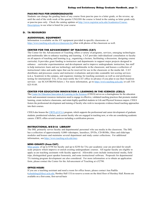### **PASS/NO PASS FOR UNDERGRADUATES**

Students can change the grading basis of any course from pass/no pass to a letter grade, or the reverse, up until the end of the sixth week of the quarter UNLESS the course is listed in the catalog as letter grade only or pass/no pass only. Check the catalog updates at [http://www.registrar.ucla.edu/Academics/Course-](http://www.registrar.ucla.edu/Academics/Course-Descriptions)[Descriptions](http://www.registrar.ucla.edu/Academics/Course-Descriptions) to see what is listed for your course

# **D. TA RESOURCES**

### **AUDIOVISUAL EQUIPMENT**

Information is available on the AV equipment provided in specific classrooms at <https://www.teaching.ucla.edu/avs/classroom-list> often with photos of the classroom as well.

### **CENTER FOR THE ADVANCEMENT OF TEACHING (CAT)**

The Center for the Advancement of Teaching offers a variety of programs, services, emerging technologies and multimedia labs to enhance teaching and learning. CAT provides individualized consultation to faculty on all aspects of teaching and learning (e.g., organizing a lecture, facilitating a discussion, designing course curricula). It provides grant funding to instructors and departments to support major projects designed to enhance curricular experimentation and development and to improve undergraduate instruction; has staff to help instructors learn and use technology and multimedia in the classroom; and houses a collection of instructional video and audio tapes that can be reserved for use in the classroom or the media lab. CAT distributes and processes course and instructor evaluations and provides scannable test scoring services (a.k.a. Scantron) to the campus, and organizes training for teaching assistants as well as oral proficiency testing for international TAs. (You must notify the CAT office in advance if you plan to use their Scantron services – see SCANTRONS below.) For more information, go to <https://www.teaching.ucla.edu/> or call 310- 825-9149.

### **CENTER FOR EDUCATION INNOVATION & LEARNING IN THE SCIENCES (CEILS)**

The [Center for Education Innovation & Learning in the Sciences](https://ceils.ucla.edu/impact/about-ceils/) (CEILS) serves as a clearinghouse for the education tools and assessment resources instructors need to engage in effective, validated teaching practices that promote student learning, create inclusive classrooms, and retain highly-qualified students in Life and Physical Sciences majors. CEILS fosters the professional development and training of faculty who wish to incorporate evidence-based teaching approaches into their courses.

CEILS also houses the [CIRTL@UCLA](https://cirtl.ceils.ucla.edu/) program, which supports the professional and career development of graduate students, postdoctoral scholars, and current faculty who are engaged in teaching now, or who are considering academic careers. CIRTL offers several resources including a certification process.

### **INSTRUCTIONAL MEDIA LIBRARY**

The IML primarily serves faculty and departmental personnel who use media in the classroom. The IML has a collection of approximately 8,000 videotapes, laserdiscs, DVDs, CD-ROMs, films and slide/tape modules and houses and maintains several department and study center collections. For additional information, see <https://www.teaching.ucla.edu/imcs>

#### **MINI-GRANTS (from CAT)**

[Mini-grants](https://teaching.ucla.edu/grants/mini-grants/) of up to \$750 for faculty and up to \$250 for TAs per academic year are provided for smallscale projects which improve or enrich existing undergraduate courses. All regular faculty are eligible to apply as are teaching assistants with faculty approval. Allowable costs include instructional media, field trips, distinguished guest speaker honoraria, and some instructional software. Proposals for departmental TA training program development are also considered. For more information or to obtain an application form, please contact the Center for the Advancement of Teaching at x52790.

### **OFFICE HOURS**

If you are a teaching assistant and need a room for office hours, please contact Ana Padilla [\(scheduling@lifesci.ucla.edu,](mailto:scheduling@lifesci.ucla.edu) Hershey Hall 133) to reserve a room on the third floor of Hershey Hall. Rooms are available on a first-come, first-served basis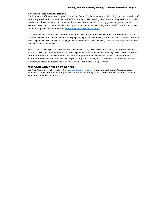#### **SCANTRONS (TEST SCORING SERVICES)**

The Evaluation of Instruction Program (part of the Center for Advancement of Teaching) provides a variety of test scoring services that are available to all UCLA Instructors. The overall goal of the test scoring service is to provide an efficient and accurate means of grading multiple-choice exams that will effectively generate reports to suit the instructor's needs. Such reports should be used by instructors to improve the testing process itself. For a list of services and policies, please visit their website,<https://teaching.ucla.edu/test-scoring/>

To ensure efficient service, ALL examinations **must be scheduled at least 48 hours in advance**. Please call 310- 825-6939 to schedule an appointment. Please be prepared to provide the following information about the exam: Instructor name, Department, Name of person bringing in the exams and their contact number, Number of Exams, Number of Test Versions, Number of Students

Always try to schedule your final exam scoring appointments early. The busiest time is always finals week, and they often have such a great demand for this service that appointments overflow into the following week. There is normally a 15 minute turnaround on examination scoring, although contingencies such as workload and equipment malfunction may affect the time needed for processing. No tests may be left unattended and will not be held overnight, so please be prepared to wait 15-20 minutes for exams to be processed.

# <span id="page-36-0"></span>**TEXTBOOK AND DESK COPY ORDERS**

See Ana Padilla in Hershey Hall 133 [\(apadilla@lifesci.ucla.edu](mailto:apadilla@lifesci.ucla.edu) ) for ordering desk copies. Ordering class textbooks is done approximately eight weeks before the beginning of the quarter through an online textbook requisition to the UCLA Store.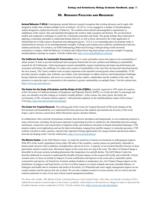# **VI. RESEARCH FACILITIES AND RESOURCES**

**Animal Behavior @ UCLA** Contemporary animal behavior research recognizes that exciting advances can be made with integrative studies that combine multiple levels of analysis. At UCLA, we are engaged in a number of interdisciplinary studies designed to explain the diversity of behavior. We combine observational and manipulative experiments on amphibians, birds, insects, fish, and mammals throughout the world to study causation and function. We use theoretical models and comparative techniques to search for evolutionary principles and trends. The group includes those interested in applying evolutionary principles to understand human behavior, as well as those interested in the wider application of animal behavior to help conserve threatened and endangered species. UCLA is an outstanding place for graduate study in animal behavior because of our interdepartmental strengths. Colloquia and seminar series cultivate communication between students and faculty. For instance, our EEB/Anthropology Behavioral Ecology Colloquia bring world-renowned researchers to campus, while the Behavior, Evolution and Culture brown bag lunch group is just one example of ongoing interdisciplinary meetings on campus. Visit the website here, <http://www.animalbehavior.ucla.edu/>

**The California Center for Sustainable Communities** exists to create actionable science that improves the sustainability of urban systems. It aims to provide intellectual and conceptual frameworks for new synthesis and thinking in sustainability research for all Californians. Achieving progress toward sustainability requires maintaining and improving both human and ecosystem well-being. Our challenge is to make cities centers of sustainability in the ways they develop and redevelop beyond the next century. The Center conducts work on topics important to the transition toward greater urban sustainability. CCSC provides research, insights, data, methods, case studies, tools and strategies to address land use and transportation challenges facing California communities, and serves as a resource for policy makers, stakeholders and the residents of the state. Our mission is to assist the state's communities in the transition to greater sustainability on multiple fronts. Visit the website here, [https://www.ioes.ucla.edu/ccsc/.](https://www.ioes.ucla.edu/ccsc/)

**The Center for the Study of Evolution and the Origin of Life (CSEOL),** formally organized in 1985 under the auspices of the University of California Institute of Geophysics and Planetary Physics (IGPP), is a Center devoted "to encourage and carry out scholarly activities relating to evolution, broadly defined - of the cosmos, the solar system, the Earth, the environment, of life, of humans (Homo sapiens) - with particular emphasis on the multidisciplinary nature of the science." Visit<https://epss.ucla.edu/research-areas/groups/>

**The Center for Tropical Research.** The unifying goal of the Center for Tropical Research (CTR) at the Institute of the Environment and Sustainability is to understand the biotic processes that underlie and maintain the diversity of life in the tropics, and to advance conservation efforts that protect species and their habitats.

In collaboration with a network of prominent scientists from diverse disciplines and backgrounds, we are conducting research in many critical areas, including: the processes important in generating diversity in rainforests, the relationship between ecology and disease, connectivity and conservation of migratory birds, and rainforest restoration in human-dominated landscapes. CTR projects employ novel applications and use the latest technologies, ranging from satellite imagery to molecular genomics. CTR conducts research in many countries, and provides important training opportunities for young scientists and decision-makers from the developing world. Visit the website here[, https://www.ioes.ucla.edu/ctr/](https://www.ioes.ucla.edu/ctr/)

**The Marine Center.** At the IoES Marine Center, we study the sensitivity of marine environments to anthropogenic impacts. With 44% of the world's population living within 100 miles of the coastline, coastal systems are particularly vulnerable to human-made stressors such as pollution, eutrophication, and sea level rise. A majority of our research therefore focuses on these particularly sensitive coastal areas. But human impact on the ocean does not stop at the coast. The effect of Climate Change is detectable in all ocean systems including phenomena like temperature rise and pH decline. The IoES Marine Center has therefore dedicated its research to understand the breadth of human impacts on the oceans both locally and worldwide. Critical research areas we focus on include (i) Impacts of ocean acidification and hypoxia on the coast and on vulnerable marine communities and species, (ii) Sensitivity of marine methane hydrates to temperature rise, (iii) Climate Change impacts on the distribution of mangrove and kelp forests, (iv) Sea Level Rise impacts on coastal wetlands and rocky intertidal habitats, (v) Pathogens and health risks to swimmers and surfers at the beach, (vi) Watershed and water supply management impacts on our coastal estuaries and the species that rely on them. We not only complete research on ocean systems, but we work to provide solutions particular to some of our most critical coastal management problems.

For those who wonder: The Marine Center is formerly known as the Coastal Center. Over time, new faculty arriving at UCLA added diverse marine research topics to the Center's portfolio, which lead us to the decision to change its name to represent the *breadth of marine science conducted at UCLA. Visit the website here,* <https://www.ioes.ucla.edu/marine/>*.*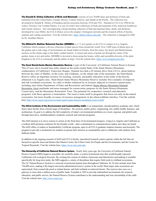**The Donald R. Dickey Collection of Birds and Mammals** consists of over 70,000 skins and skeletons of birds and mammals from the United States, Canada, Mexico, Central America, and islands in the Pacific. The collection was developed by Donald R. Dickey of Pasadena and his associates between 1910 and 1932. Donated to UCLA in 1940 by his widow, Florence Van Vechten Dickey, it is one of world's best collections of birds and mammals of the American Southwest and Central America. Also encompassing a broad teaching collection of bird and mammal skins, skulls, and skeletons developed by Loye Miller, the UCLA Dickey serves the campus's biological curricula and the research efforts of faculty, students and visiting researchers. Visit the website here,<https://dickey.lifesci.ucla.edu/>. The collection is managed by EEB by Dr. Jonathan Marcot.

**The Mildred E. Mathias Botanical Garden (MEMBG)** is a 7.5 acre garden on the UCLA campus in Los Angeles, California which contains a diverse collection of plant species from around the world. Over 3,000 types of plants grow at the garden and a wide range of environments are found within its borders, from the sunny, dry desert and Mediterranean sections on the eastern edge to the shady verdant interior. A stream and series of ponds run through the center of the garden, home to koi and turtles. MEMBG is devoted to showcasing the beauty, utility and incredible diversity of the plant kingdom to the UCLA community and the public at large. Visit the website here, [https://www.botgard.ucla.edu/.](https://www.botgard.ucla.edu/)

**The Stunt Ranch/Santa Monica Mountains Reserve** is part of the University of California Natural Reserve System. This 67-acre site is located four miles inland on the north central flank of the Santa Monica Mountains, southernmost of California's Transverse Ranges. Situated less than a 45-minute drive from UCLA, about midway between the cities of Malibu, on the coast, and Calabasas, on the inland side of the mountains, the Stunt Ranch Reserve offers an important resource for teaching, research, and public education in the midst of the heavily urbanized Los Angeles area. Stunt Ranch Santa Monica Mountains Reserve includes fine examples of chaparral and oak woodland ecosystems. Its value is further enhanced by its location adjacent to extensive natural areas, including state (State Department of Parks and Recreation) and federal (Santa Monica Mountains National Recreation Area) parklands and areas managed for conservation purposes by the Santa Monica Mountains Conservancy and the Mountains Restoration Trust. The potential for cooperative research and education programs with these agencies is tremendous. The reserve lends itself to programs that focus not only on the natural ecosystems, but more broadly on issues of resource management in the urban/wildland interface. Visit the website here,<http://www.ucnrs.org/reserves/stunt-ranch-santa-monica-mountains-reserve.html>

**The UCLA Institute of the Environment and Sustainability (IoES***)* is an independent, interdisciplinary academic unit, which draws upon faculty from a broad range of disciplines - the sciences, public policy, engineering, law, public health, business, and architecture. Its goal is to address the full complexity of today's environmental problems on a local, regional, and global scale through innovative, multidisciplinary academic research and outreach programs.

The IoES mission is to move science to action on the front lines of environmental progress. Using Los Angeles and California as a testbed, IoES promises solutions for the broader world—and a commitment to communications makes sure ideas are heard. The IoES offers a Leaders in Sustainability Certificate program, open to all UCLA graduate students (masters and doctoral). The program to provide a mechanism for students to pursue their interests in sustainability and to collaborate with students from different fields.

In addition to the ongoing research of IoES and UCLA faculty, specialized research centers operate within the IoE that are focused on specific areas and themes (the Marine Center, the Urban Center for People and the Environment, and the Center for Tropical Research). Visit the website here,<https://www.ioes.ucla.edu/>

**The University of California Natural Reserve System.** Nearly forty years ago, the University of California Natural Reserve System (NRS) began to assemble, for scientific study, a system of protected sites that would broadly represent California's rich ecological diversity. By creating this system of outdoor classrooms and laboratories and making it available specifically for long-term study, the NRS supports a variety of disciplines that require field work in wildland ecosystems. The UC Natural Reserve System is a network of protected natural areas throughout California. Its 39 sites include more than 756,000 acres, making it the largest university-administered reserve system in the world. Most major state ecosystems are represented, from coastal tide pools to inland deserts, and lush wetlands to redwood forests. The reserves also serve as a gateway to more than a million acres of public lands. Founded in 1965 to provide undisturbed environments for research, education, and public service, the Natural Reserve System contributes to the understanding and wise stewardship of the earth. Visit the website here[, http://www.ucnrs.org](http://www.ucnrs.org/)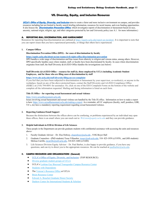# **VII. Diversity, Equity, and Inclusion Resources**

**[UCLA's Office of Equity, Diversity, and Inclusion](https://equity.ucla.edu/)** aims to create a fairer and more inclusive environment on campus, and provides resources including but not limited to faculty search briefing information, resources for racial trauma, and even funding opportunities. It also houses the **[Discrimination Prevention Office](https://equity.ucla.edu/about-us/our-teams/civil-rights-office/discrimination-prevention/)**, which investigates reports of discrimination or harassment based on race, ancestry, national origin, religion, age, and other categories protected by law and University policy (see A.1. for more information.)

### <span id="page-39-0"></span>**A. REPORTING BIAS, DISCRIMINATION, AND HARRASSMENT**

Resources for reporting bias/discrimination are outlined at [https://equity.ucla.edu/report-an-incident/.](https://equity.ucla.edu/report-an-incident/) It is important to note that you can report issues that you have experienced personally, or things that others have experienced.

#### **1. Campus Offices**

### **Discrimination Prevention Office (DPO) – for cases of discrimination by faculty**

### **<https://equity.ucla.edu/about-us/our-teams/civil-rights-office/discrimination-prevention>**

DPO handles a wide range of discrimination and bias issues from ethnicity to religion and veteran status, among others. However, DPO specifically handles cases where student, staff, or faculty have been discriminated by faculty. In cases where discrimination originates from staff, the Staff Diversity &AA/EEO Office handles the investigations (see below)

### **Staff Diversity &AA/EEO Office – resource for staff (ie, those employed by UCLA including Academic Student Employees, and for those who are filing cases of discrimination by staff**

## **<https://www.chr.ucla.edu/staff-diversity/filing-an-eeo-complaint>**

If you feel that you have been subjected to discrimination or harassment by your supervisor, co-worker(s), or anyone in the workplace, based on any of the above protected bases, contact the Staff Diversity and AA/EEO Compliance Office (SD&C) at (310) 794-0691 for assistance. Or, click on one of the EEO Complaint Forms on the bottom of the website and complete all the information requested. Mailing and faxing information is listed on each form.

### **Title IX Office – for reporting sexual harassment and sexual violence**

#### [https://www.sexualharassment.ucla.edu](https://www.sexualharassment.ucla.edu/)

Issues involving sexual harassment and sexual violence are handled by the Title IX office. Information on how to make a report is here: [https://www.sexualharassment.ucla.edu/making-a-report.](https://www.sexualharassment.ucla.edu/making-a-report) As a reminder, all UC employees (faculty, staff, postdocs, GSR, TA's, etc) have a mandatory reporting requirement regarding sexual harassment/violence.

### **2. Reporting Guidance/Email Support**

Because the distinctions between the offices above can be confusing, or problems experienced by an individual may span these offices, there is an email where you can reach out to: *[WeListen@equity.ucla.edu](mailto:WeListen@equity.ucla.edu)* and they can provide guidance.

### **3. Helpful Individuals in EEB & Division of Life Sciences**

These people in the Department can provide graduate students with confidential assistance with accessing the units and resources above-

- 1. Faculty Graduate Advisor Dr. Elsa Ordway, [elsaordway@ucla.edu](mailto:elsaordway@ucla.edu) , 510G Boyer Hall
- 2. Graduate Counselors (PhD students) Tessa Villaseñor[, tessav@eeb.ucla.edu,](mailto:tessav@eeb.ucla.edu) 310- 825-1959 (x51959), and (MS students) Melissa Carrillo[, mcarrillo@eeb.ucla.edu,](mailto:mcarrillo@eeb.ucla.edu) 310-825-1680 (x51680)
- 3. Life Sciences Division Equity Advisor Dr. Paul Barber, is also happy to provide guidance, if you have any questions, and can try to direct you to the appropriate resources. He can be reached at [paulbarber@ucla.edu.](mailto:paulbarber@ucla.edu)

### **B. CAMPUS RESOURCES AND ORGANIZATIONS (General)**

- UCLA's [Office of Equity, Diversity, and Inclusion](https://equity.ucla.edu/) (TOP RESOURCE)
- [Diverse graduate student groups at UCLA](https://grad.ucla.edu/life-at-ucla/diversity/diverse-graduate-student-groups-ucla/)
- UCLA's [Lesbian Gay Bisexual Transgender Campus Resource Center](http://www.lgbt.ucla.edu/)
- [Students with Dependents](http://www.swd.ucla.edu/)
- The [Veteran's Resource Office](http://www.veterans.ucla.edu/) at UCLA
- **[Bruin Resource Center](http://www.brc.ucla.edu/)**
- [Edward A. Bouchet Graduate Honor Society](https://grad.ucla.edu/life-at-ucla/diversity/bouchet-graduate-honor-society/)
- [Dashew Center for International Students & Scholars](https://internationalcenter.ucla.edu/)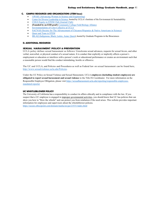## **C. CAMPUS RESOURCES AND ORGANIZATIONS (STEM focus)**

- AWiSE [\(Advancing Women in Science and Engineering\)](https://awiseucla.wixsite.com/awise)
- [Center for Diverse Leadership in Science,](https://www.ioes.ucla.edu/diversity/) hosted by UCLA's Institute of the Environment & Sustainability
- [CEILS Equity in STEM Club \(Journal Club\)](https://ceils.ucla.edu/2021/04/05/ceils-equity-in-stem-club/)
- **(Founded by an EEB grad!)** [Community College Field Biology Alliance](https://communitycollegefieldbiologyalliance.weebly.com/)
- [Environmentalists of Color Collective at UCLA](https://ecc-ucla.weebly.com/about.html)
- [SACNAS \(Society for The Advancement of Chicanos/Hispanics & Native Americans in Science\)](http://www.sacnasatucla.com/)
- [Queer and Trans in STEM](https://community.ucla.edu/studentorg/3467)
- [IBLAQ \(Indigenous, Black, Latinx, Asian, Queer\)](https://www.facebook.com/UCLAgpb/posts/the-principal-aim-of-the-indigenousblacklatinxasianqueer-iblaq-bioscience-allian/2391412894494503/), hosted by Graduate Programs in the Biosciences

### **D. ADDITIONAL RESOURCES**

### **SEXUAL HARASSMENT POLICY & PREVENTION**

UCLA policy defines sexual harassment as follows**:** Unwelcome sexual advances, requests for sexual favors, and other verbal, nonverbal, or physical conduct of a sexual nature. It is conduct that explicitly or implicitly affects a person's employment or education or interferes with a person's work or educational performance or creates an environment such that a reasonable person would find the conduct intimidating, hostile or offensive.

The UC and UCLA, and Policies and Procedures as well as Federal law on sexual harassment can be found here, [http://www.sexualviolence.ucla.edu/Policies.](http://www.sexualviolence.ucla.edu/Policies) 

Under the UC Policy on Sexual Violence and Sexual Harassment, UCLA **employees (including student employees) are obligated to report sexual harassment and sexual violence** to the Title IX Coordinator. For more information on the Responsible Employee Obligation, please visi[t https://sexualharassment.ucla.edu/reporting/responsible-employees](https://sexualharassment.ucla.edu/reporting/responsible-employees-mandated-reporter)[mandated-reporter](https://sexualharassment.ucla.edu/reporting/responsible-employees-mandated-reporter)

# **[UC](https://www.ucop.edu/uc-whistleblower/index.html) WHISTLEBLOWER POLICY**

The University of California has a responsibility to conduct its affairs ethically and in compliance with the law. If you suspect that a UC employee is engaged in improper [governmental](https://www.ucop.edu/uc-whistleblower/faqs/faq-being-a-whistleblower.html#5) activities, you should know that UC has policies that can show you how to "blow the whistle" and can protect you from retaliation if the need arises. This website provides important information for employees and supervisors about the whistleblower policies. <https://secure.ethicspoint.com/domain/media/en/gui/23531/index.html>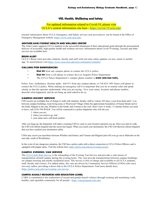# **VIII. Health, Wellbeing and Safety**

For updated information related to Covid-19, please visit UCLA's central information site here - <https://covid-19.ucla.edu/>

General information about UCLA Emergency and Safety services and procedures can be found at the Office of Emergency Management website:<https://www.oem.ucla.edu/>

# <span id="page-41-0"></span>**ARUTHER ASHE STUDENT HEALTH AND WELLNESS CENTER**

The Ashe Center supports UCLA students in the successful attainment of their educational goals through the personalized delivery of accessible, high-quality health and wellness services. Information about Covid-19 testing, vaccines and other services are available here.

### **BRUIN ALERT**

UCLA's Bruin Alert provides students, faculty and staff with real time safety updates via text, email or mobile app. To enroll please visit [https://www.oem.ucla.edu/ucla-community/students.](https://www.oem.ucla.edu/ucla-community/students)

# **CALLING FOR EMERGENCIES**

- **Dial 911** from any campus phone to contact the UCLA police
- **Dial 911** from a cell phone to contact the Los Angeles Police Department
- The UCLA Police Department's campus phone number is **51491 (310-825-1491).**

Police, Fire, Ambulance, Hazmat spills: dial 911 from any campus phone, or 310-825-1491 from a cell phone to contact the UCLA police. When making an emergency call it is important that you try to remain calm and speak clearly so that the operator understands what you are saying. Give your name, location and phone number, describe what happened, and do not hang up until asked to do so.

# **CAMPUS ESCORT SERVICE**

CSO escorts are available free of charge to walk with students, faculty, staff or visitors 365 days a year from dusk until 1 a.m. between campus buildings, local living areas or Westwood Village within the approximate boundaries of Sunset Boulevard to the north, Hilgard to the east, Wilshire to the South, and Veteran to the west. Here's how it works: 15 minutes before you need to leave, call (310) 794-WALK. You will be connected to a police dispatcher who will ask you:

- 1. where you are,
- 2. where you need to go, and
- 3. your name and a call-back number.

After you hang up, the dispatcher will radio a roaming CSO to come to your location and pick you up. Once you start to walk, the CSO will inform dispatch that the escort has begun. When you reach your destination, the CSO will likewise inform dispatch that you have reached your destination safely.

CSOs may escort you anywhere between Wilshire and Sunset, and Veteran and Hilgard (and will even go out to Malcolm on the east side, south of Westholme).

In the event of any dangerous situation, the CSO has a police radio with a direct connection to UCLA Police Officers, and is equipped with pepper spray. Visit the website here, [https://police.ucla.edu/cso/evening-escorts.](https://police.ucla.edu/cso/evening-escorts)

### **CAMPUS EVENING VAN SERVICE**

The [UCLA Safe Ride Service](https://ucla.box.com/v/saferide) is the rebranding of the Evening Van Service and provides a safe means of transportation around campus during the evening hours. The vans provide transportation between campus buildings, on-campus housing and nearby residential areas. The service is free of charge and available to all UCLA students, staff, faculty and visitors. For added safety, the vans are driven by Community Service Officers (CSOs) who carry two-way radios, providing a direct link to the UCLA Police Department. Find more details here, [https://police.ucla.edu/cso/evening-van-service.](https://police.ucla.edu/cso/evening-van-service)

### **CAMPUS ASSAULT RESOURCES AND EDUCATION (CARE)**

CARE is committed to the eradication of sexual and gender-based violence through creating and sustaining a safe, healthy, and equitable community for all people - <https://careprogram.ucla.edu/>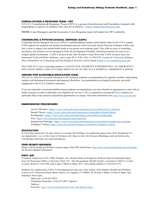### **CONSULTATION & RESPONSE TEAM– CRT**

UCLA's Consultation & Response Team (CRT) is a group of professional staff members charged with responding to reports of students who may be in distress - <https://studentincrisis.ucla.edu/>

**NOTE:** Case Managers and the Economic Crisis Response team fall under the CRT umbrella.

# **COUNSELING & PSYCHOLOGICAL SERVICES (CAPS)**

Counseling and Psychological Services (CAPS) is a multidisciplinary student mental health center for the UCLA campus. CAPS supports the academic and student development missions of the University and the Division of Student Affairs, and they're here to support your mental health needs as you pursue your academic goals. They offer an array of counseling, psychiatric, and wellness services designed to foster the development of healthy well-being necessary for success in a complex global environment. CAPS is located in the John Wooden Center West (the CAPS entrance faces the Intramural Field and Drake Stadium), and is open M-F, 8:00 A.M. to 5:00 P.M., except for University holidays. More information on Counseling and Psychological Services can be found at <http://www.counseling.ucla.edu/>

The CAPS 24/7 Crisis Counseling number is (310) 825-0768. STUDENTS EXPERIENCING AN EMERGENCY SITUATION WHEN CAPS IS CLOSED SHOULD GO TO THE UCLA HOSPITAL EMERGENCY ROOM.

### **CENTER FOR ACCESSIBLE EDUCATION (CAE)**

The UCLA Center for Accessible Education (CAE) facilitates academic accommodations for regularly enrolled, matriculating students with documented permanent and temporary disabilities. Accommodations are designed to promote successful engagement in the UCLA academic experience.

If you are interested in receiving disability-based academic accommodations, you may schedule an appointment to meet with an intake counselor in order to determine your eligibility for services. CAE is committed to ensuring all UCLA students can participate fully in the numerous educational opportunities on campus. Find more information here[, http://www.cae.ucla.edu/.](http://www.cae.ucla.edu/)

### **EMERGENCIES PROCEDURES**

Active Shooter:<https://www.oem.ucla.edu/emergency-procedures/active-shooter> Bomb Threat:<https://www.oem.ucla.edu/emergency-procedures/bomb-threat> Earthquake:<https://www.oem.ucla.edu/emergency-procedures/earthquake> Fire:<https://www.oem.ucla.edu/emergency-procedures/fire> Suspicious Package:<https://www.oem.ucla.edu/emergency-procedures/suspicious-package> Workplace Violence:<https://www.oem.ucla.edu/emergency-procedures/workplace-violence>

#### **EVACUATION**

If it becomes necessary for any reason to evacuate the building, two gathering places have been designated for our department: one in the Court of Sciences (for those in the Life Sciences Building), and one between the 158 Hershey Hall patio area and Greenhouse.

### **FOOD SECURITY RESOURCES**

Please visit the Health and Wellness resource page of the EEB website here,<https://www.eeb.ucla.edu/health-and-well-being/> for the most updated information.

### **FIRST AID**

If injured, employees (TAs, GSRs, Readers, etc) should obtain an Employee Referral Slip for Industrial Injury from the Personnel Office in Hershey Hall 236. The Occupational Health Facility is located at 10833 Le Conte Avenue, Room 67-120 CHS, and is open 7:00am-4:30pm, M-F. Their phone number is (310) 825-6771.

Students not employed by LSSA or the departments must go to the Arthur Ashe Student Health and Wellness Center at 221 Westwood Plaza (Bruin Plaza), Los Angeles, CA 90095, M-Th 8am-5:30pm, Fri 9am-4:30pm, and Saturdays 9am-12pm.

Main Line: (310) 825-4073 AfterHours Nurseline: (310) 825-4073, Option 2 Address: Website:<http://www.studenthealth.ucla.edu/default.aspx>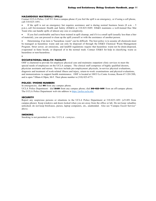#### **HAZARDOUS MATERIALS SPILLS**

Contact UCLA Police. Call 911 from a campus phone if you feel the spill is an emergency, or if using a cell phone, call 310-825-1491.

If the spill is not an emergency but requires assistance and is during normal business hours (8 a.m. - 5 p.m.), call Environment Health and Safety (EH&S) at 310-825-5689. EH&S maintains a well-trained Haz Mat Team who can handle spills of almost any size or complexity.

• If you feel comfortable and have been trained in spill cleanup, and if it is a small spill (usually less than a liter of material), you can proceed to clean up the spill yourself or with the assistance of another person.

• Determining if an item is "hazardous waste" can be difficult. The best policy is to assume all chemicals must be managed as hazardous waste and can only be disposed of through the EH&S Chemical Waste Management Program. Strict sewer, air emissions, and landfill regulations require that hazardous waste not be drain-disposed, evaporated in fume hoods, or disposed of in the normal trash. Contact EH&S for help in classifying waste as hazardous or non-hazardous.

•

### **OCCUPATIONAL HEALTH FACILITY**

OHF is chartered to provide for employee physical care and maintains outpatient clinic services to meet the special needs of employees on the UCLA campus. The clinical staff comprises of highly qualified doctors, physician assistants and nurses. Services include pre-employment physicals, in-service physical evaluations, diagnosis and treatment of work-related illness and injury, return-to-work examinations and physical evaluations, and immunizations to support health maintenance. OHF is located at 10833 Le Conte Avenue, Room 67-120 CHS, and is open 7:00am-4:30pm, M-F. Their phone number is (310) 825-6771.

### **POLICE / PHONE NUMBERS**

In emergencies, dial **911** from any campus phone.

UCLA Police Department: dial **51491** from any campus phone; dial **310-825-1491** from an off-campus phone. The UCLA Police Department web site address is<https://police.ucla.edu/>

#### **SECURITY**

Report any suspicious persons or situations to the UCLA Police Department at 310-825-1491 (x51491 from campus phone). Keep windows and doors locked when you are away from the office or lab. Do not keep valuables unlocked; do not keep briefcases, purses, laptop computers, etc., unattended. Also see "Campus Escort Service" above.

# **SMOKING**

Smoking is not permitted on the UCLA campus.